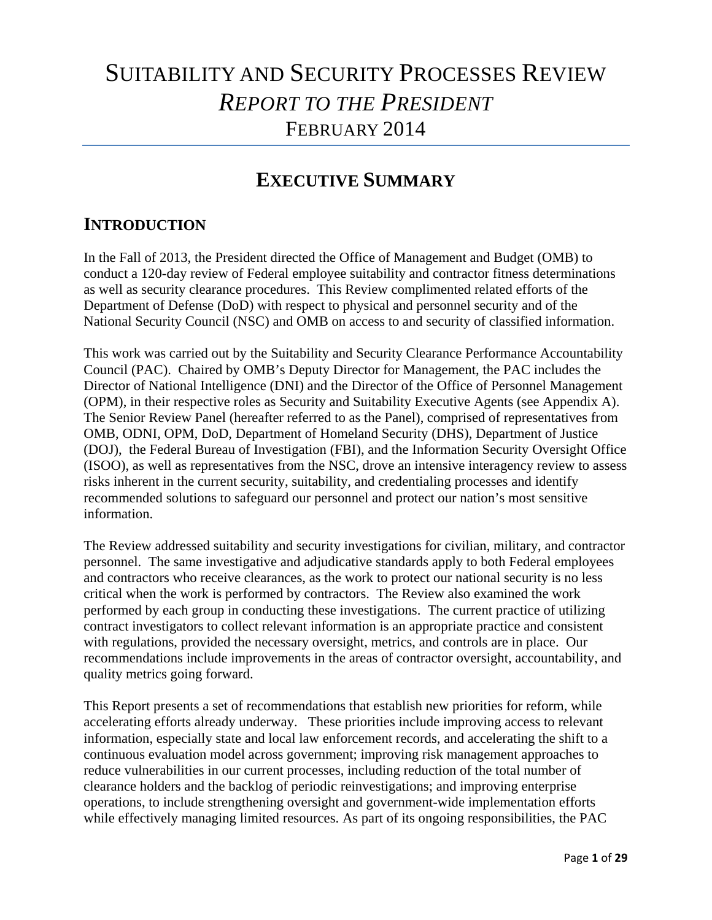## SUITABILITY AND SECURITY PROCESSES REVIEW *REPORT TO THE PRESIDENT*  FEBRUARY 2014

# **EXECUTIVE SUMMARY**<br>INTRODUCTION

In the Fall of 2013, the President directed the Office of Management and Budget (OMB) to conduct a 120-day review of Federal employee suitability and contractor fitness determinations as well as security clearance procedures. This Review complimented related efforts of the Department of Defense (DoD) with respect to physical and personnel security and of the National Security Council (NSC) and OMB on access to and security of classified information.

This work was carried out by the Suitability and Security Clearance Performance Accountability Council (PAC). Chaired by OMB's Deputy Director for Management, the PAC includes the Director of National Intelligence (DNI) and the Director of the Office of Personnel Management (OPM), in their respective roles as Security and Suitability Executive Agents (see Appendix A). The Senior Review Panel (hereafter referred to as the Panel), comprised of representatives from OMB, ODNI, OPM, DoD, Department of Homeland Security (DHS), Department of Justice (DOJ), the Federal Bureau of Investigation (FBI), and the Information Security Oversight Office (ISOO), as well as representatives from the NSC, drove an intensive interagency review to assess risks inherent in the current security, suitability, and credentialing processes and identify recommended solutions to safeguard our personnel and protect our nation's most sensitive information.

The Review addressed suitability and security investigations for civilian, military, and contractor personnel. The same investigative and adjudicative standards apply to both Federal employees and contractors who receive clearances, as the work to protect our national security is no less critical when the work is performed by contractors. The Review also examined the work performed by each group in conducting these investigations. The current practice of utilizing contract investigators to collect relevant information is an appropriate practice and consistent with regulations, provided the necessary oversight, metrics, and controls are in place. Our recommendations include improvements in the areas of contractor oversight, accountability, and quality metrics going forward.

This Report presents a set of recommendations that establish new priorities for reform, while accelerating efforts already underway. These priorities include improving access to relevant information, especially state and local law enforcement records, and accelerating the shift to a continuous evaluation model across government; improving risk management approaches to reduce vulnerabilities in our current processes, including reduction of the total number of clearance holders and the backlog of periodic reinvestigations; and improving enterprise operations, to include strengthening oversight and government-wide implementation efforts while effectively managing limited resources. As part of its ongoing responsibilities, the PAC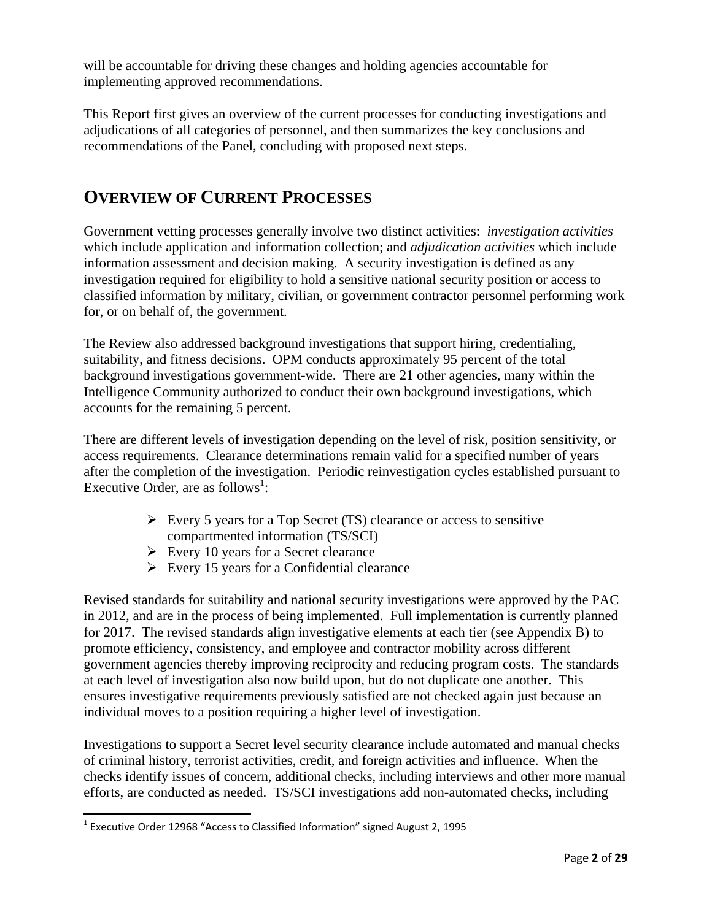will be accountable for driving these changes and holding agencies accountable for implementing approved recommendations.

This Report first gives an overview of the current processes for conducting investigations and adjudications of all categories of personnel, and then summarizes the key conclusions and recommendations of the Panel, concluding with proposed next steps.

## **OVERVIEW OF CURRENT PROCESSES**

Government vetting processes generally involve two distinct activities: *investigation activities*  which include application and information collection; and *adjudication activities* which include information assessment and decision making. A security investigation is defined as any investigation required for eligibility to hold a sensitive national security position or access to classified information by military, civilian, or government contractor personnel performing work for, or on behalf of, the government.

The Review also addressed background investigations that support hiring, credentialing, suitability, and fitness decisions. OPM conducts approximately 95 percent of the total background investigations government-wide. There are 21 other agencies, many within the Intelligence Community authorized to conduct their own background investigations, which accounts for the remaining 5 percent.

There are different levels of investigation depending on the level of risk, position sensitivity, or access requirements. Clearance determinations remain valid for a specified number of years after the completion of the investigation. Periodic reinvestigation cycles established pursuant to Executive Order, are as follows<sup>1</sup>:

- $\triangleright$  Every 5 years for a Top Secret (TS) clearance or access to sensitive compartmented information (TS/SCI)
- $\triangleright$  Every 10 years for a Secret clearance
- $\triangleright$  Every 15 years for a Confidential clearance

Revised standards for suitability and national security investigations were approved by the PAC in 2012, and are in the process of being implemented. Full implementation is currently planned for 2017. The revised standards align investigative elements at each tier (see Appendix B) to promote efficiency, consistency, and employee and contractor mobility across different government agencies thereby improving reciprocity and reducing program costs. The standards at each level of investigation also now build upon, but do not duplicate one another. This ensures investigative requirements previously satisfied are not checked again just because an individual moves to a position requiring a higher level of investigation.

 of criminal history, terrorist activities, credit, and foreign activities and influence. When the Investigations to support a Secret level security clearance include automated and manual checks checks identify issues of concern, additional checks, including interviews and other more manual efforts, are conducted as needed. TS/SCI investigations add non-automated checks, including

 $^1$  Executive Order 12968 "Access to Classified Information" signed August 2, 1995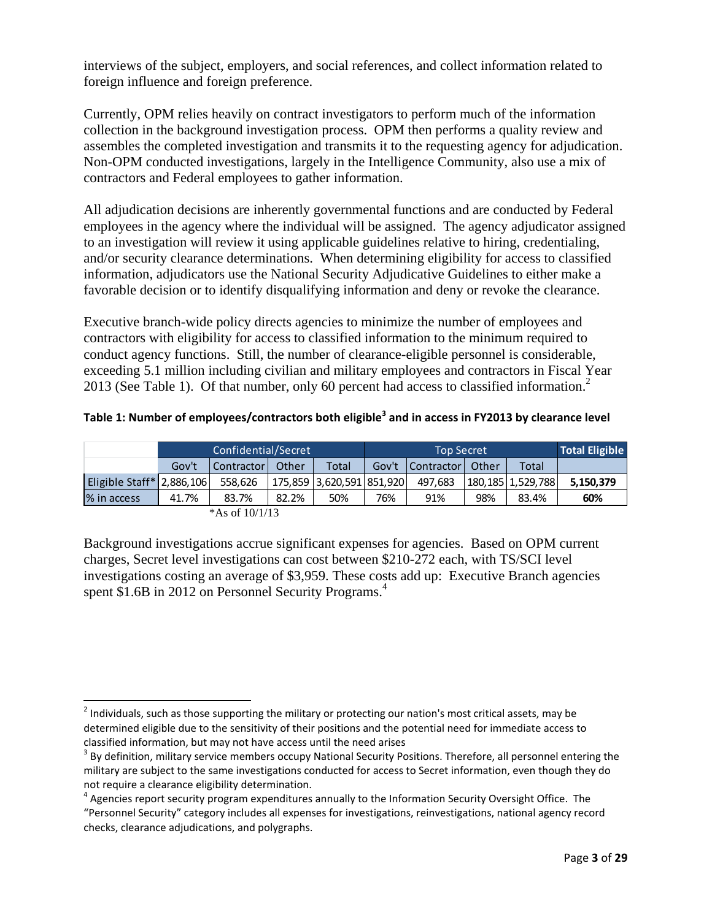interviews of the subject, employers, and social references, and collect information related to foreign influence and foreign preference.

Currently, OPM relies heavily on contract investigators to perform much of the information collection in the background investigation process. OPM then performs a quality review and assembles the completed investigation and transmits it to the requesting agency for adjudication. Non-OPM conducted investigations, largely in the Intelligence Community, also use a mix of contractors and Federal employees to gather information.

All adjudication decisions are inherently governmental functions and are conducted by Federal employees in the agency where the individual will be assigned. The agency adjudicator assigned to an investigation will review it using applicable guidelines relative to hiring, credentialing, and/or security clearance determinations. When determining eligibility for access to classified information, adjudicators use the National Security Adjudicative Guidelines to either make a favorable decision or to identify disqualifying information and deny or revoke the clearance.

Executive branch-wide policy directs agencies to minimize the number of employees and contractors with eligibility for access to classified information to the minimum required to conduct agency functions. Still, the number of clearance-eligible personnel is considerable, exceeding 5.1 million including civilian and military employees and contractors in Fiscal Year 2013 (See Table 1). Of that number, only 60 percent had access to classified information.<sup>2</sup>

| Table 1: Number of employees/contractors both eligible <sup>3</sup> and in access in FY2013 by clearance level |  |
|----------------------------------------------------------------------------------------------------------------|--|
|----------------------------------------------------------------------------------------------------------------|--|

|                              | Confidential/Secret |            |       |                           | <b>Top Secret</b> |            |       |                   | <b>Total Eligible</b> |
|------------------------------|---------------------|------------|-------|---------------------------|-------------------|------------|-------|-------------------|-----------------------|
|                              | Gov't               | Contractor | Other | <b>Total</b>              | Gov't             | Contractor | Other | Total             |                       |
| Eligible Staff $*$ 2,886,106 |                     | 558,626    |       | 175.859 3.620.591 851.920 |                   | 497.683    |       | 180.185 1.529.788 | 5.150.379             |
| % in access                  | 41.7%               | 83.7%      | 82.2% | 50%                       | 76%               | 91%        | 98%   | 83.4%             | 60%                   |

|  | *As of $10/1/13$ |  |
|--|------------------|--|
|  |                  |  |

spent \$1.6B in 2012 on Personnel Security Programs.<sup>4</sup> Background investigations accrue significant expenses for agencies. Based on OPM current charges, Secret level investigations can cost between \$210-272 each, with TS/SCI level investigations costing an average of \$3,959. These costs add up: Executive Branch agencies

 $^2$  Individuals, such as those supporting the military or protecting our nation's most critical assets, may be determined eligible due to the sensitivity of their positions and the potential need for immediate access to classified information, but may not have access until the need arises

classified information, but may not have access until the need arises<br><sup>3</sup> By definition, military service members occupy National Security Positions. Therefore, all personnel entering the military are subject to the same investigations conducted for access to Secret information, even though they do not require a clearance eligibility determination.

not require a clearance eligibility determination.<br><sup>4</sup> Agencies report security program expenditures annually to the Information Security Oversight Office. The "Personnel Security" category includes all expenses for investigations, reinvestigations, national agency record checks, clearance adjudications, and polygraphs.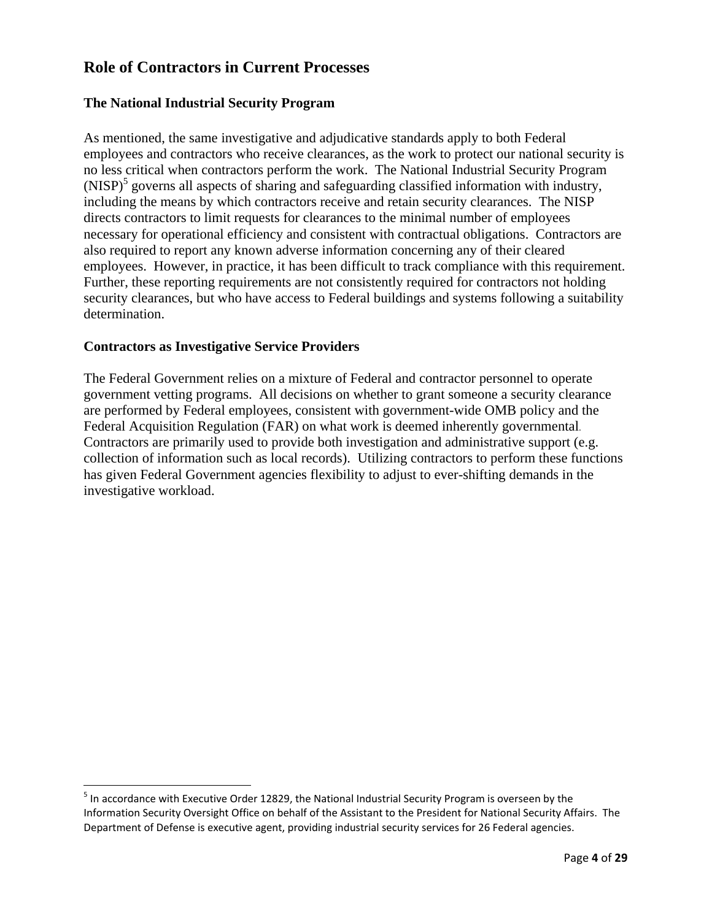### **Role of Contractors in Current Processes**

#### **The National Industrial Security Program**

As mentioned, the same investigative and adjudicative standards apply to both Federal employees and contractors who receive clearances, as the work to protect our national security is no less critical when contractors perform the work. The National Industrial Security Program (NISP)<sup>5</sup> governs all aspects of sharing and safeguarding classified information with industry, including the means by which contractors receive and retain security clearances. The NISP directs contractors to limit requests for clearances to the minimal number of employees necessary for operational efficiency and consistent with contractual obligations. Contractors are also required to report any known adverse information concerning any of their cleared employees. However, in practice, it has been difficult to track compliance with this requirement. Further, these reporting requirements are not consistently required for contractors not holding security clearances, but who have access to Federal buildings and systems following a suitability determination.

#### **Contractors as Investigative Service Providers**

 Federal Acquisition Regulation (FAR) on what work is deemed inherently governmental. The Federal Government relies on a mixture of Federal and contractor personnel to operate government vetting programs. All decisions on whether to grant someone a security clearance are performed by Federal employees, consistent with government-wide OMB policy and the Contractors are primarily used to provide both investigation and administrative support (e.g. collection of information such as local records). Utilizing contractors to perform these functions has given Federal Government agencies flexibility to adjust to ever-shifting demands in the investigative workload.

 $^5$  In accordance with Executive Order 12829, the National Industrial Security Program is overseen by the Information Security Oversight Office on behalf of the Assistant to the President for National Security Affairs. The Department of Defense is executive agent, providing industrial security services for 26 Federal agencies.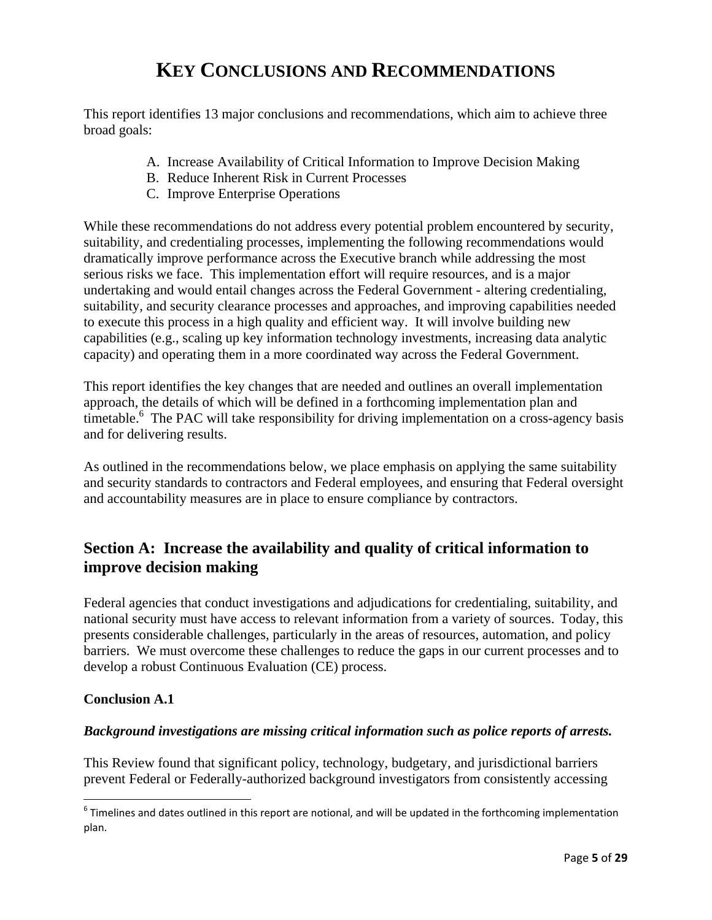## **KEY CONCLUSIONS AND RECOMMENDATIONS**

This report identifies 13 major conclusions and recommendations, which aim to achieve three broad goals:

- A. Increase Availability of Critical Information to Improve Decision Making
- B. Reduce Inherent Risk in Current Processes
- C. Improve Enterprise Operations

While these recommendations do not address every potential problem encountered by security, suitability, and credentialing processes, implementing the following recommendations would dramatically improve performance across the Executive branch while addressing the most serious risks we face. This implementation effort will require resources, and is a major undertaking and would entail changes across the Federal Government - altering credentialing, suitability, and security clearance processes and approaches, and improving capabilities needed to execute this process in a high quality and efficient way. It will involve building new capabilities (e.g., scaling up key information technology investments, increasing data analytic capacity) and operating them in a more coordinated way across the Federal Government.

This report identifies the key changes that are needed and outlines an overall implementation approach, the details of which will be defined in a forthcoming implementation plan and timetable.<sup>6</sup> The PAC will take responsibility for driving implementation on a cross-agency basis and for delivering results.

As outlined in the recommendations below, we place emphasis on applying the same suitability and security standards to contractors and Federal employees, and ensuring that Federal oversight and accountability measures are in place to ensure compliance by contractors.

## **Section A: Increase the availability and quality of critical information to improve decision making**

 national security must have access to relevant information from a variety of sources. Today, this Federal agencies that conduct investigations and adjudications for credentialing, suitability, and presents considerable challenges, particularly in the areas of resources, automation, and policy barriers. We must overcome these challenges to reduce the gaps in our current processes and to develop a robust Continuous Evaluation (CE) process.

#### **Conclusion A.1**

#### *Background investigations are missing critical information such as police reports of arrests.*

This Review found that significant policy, technology, budgetary, and jurisdictional barriers prevent Federal or Federally-authorized background investigators from consistently accessing

 $^6$  Timelines and dates outlined in this report are notional, and will be updated in the forthcoming implementation plan.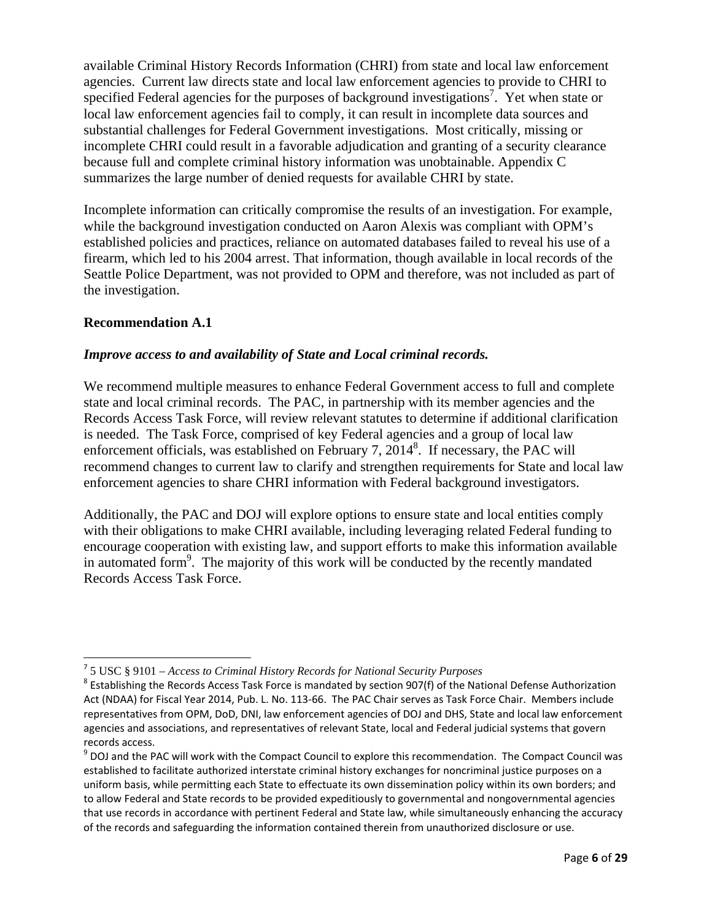available Criminal History Records Information (CHRI) from state and local law enforcement agencies. Current law directs state and local law enforcement agencies to provide to CHRI to specified Federal agencies for the purposes of background investigations<sup>7</sup>. Yet when state or local law enforcement agencies fail to comply, it can result in incomplete data sources and substantial challenges for Federal Government investigations. Most critically, missing or incomplete CHRI could result in a favorable adjudication and granting of a security clearance because full and complete criminal history information was unobtainable. Appendix C summarizes the large number of denied requests for available CHRI by state.

Incomplete information can critically compromise the results of an investigation. For example, while the background investigation conducted on Aaron Alexis was compliant with OPM's established policies and practices, reliance on automated databases failed to reveal his use of a firearm, which led to his 2004 arrest. That information, though available in local records of the Seattle Police Department, was not provided to OPM and therefore, was not included as part of the investigation.

#### **Recommendation A.1**

#### *Improve access to and availability of State and Local criminal records.*

We recommend multiple measures to enhance Federal Government access to full and complete state and local criminal records. The PAC, in partnership with its member agencies and the Records Access Task Force, will review relevant statutes to determine if additional clarification is needed. The Task Force, comprised of key Federal agencies and a group of local law enforcement officials, was established on February 7,  $2014<sup>8</sup>$ . If necessary, the PAC will recommend changes to current law to clarify and strengthen requirements for State and local law enforcement agencies to share CHRI information with Federal background investigators.

Additionally, the PAC and DOJ will explore options to ensure state and local entities comply with their obligations to make CHRI available, including leveraging related Federal funding to encourage cooperation with existing law, and support efforts to make this information available in automated form<sup>9</sup>. The majority of this work will be conducted by the recently mandated Records Access Task Force.

  <sup>7</sup> 5 USC § 9101 – *Access to Criminal History Records for National Security Purposes* 

 $^8$  Establishing the Records Access Task Force is mandated by section 907(f) of the National Defense Authorization Act (NDAA) for Fiscal Year 2014, Pub. L. No. 113‐66. The PAC Chair serves as Task Force Chair. Members include representatives from OPM, DoD, DNI, law enforcement agencies of DOJ and DHS, State and local law enforcement agencies and associations, and representatives of relevant State, local and Federal judicial systems that govern records access.

records access.<br><sup>9</sup> DOJ and the PAC will work with the Compact Council to explore this recommendation. The Compact Council was established to facilitate authorized interstate criminal history exchanges for noncriminal justice purposes on a uniform basis, while permitting each State to effectuate its own dissemination policy within its own borders; and to allow Federal and State records to be provided expeditiously to governmental and nongovernmental agencies that use records in accordance with pertinent Federal and State law, while simultaneously enhancing the accuracy of the records and safeguarding the information contained therein from unauthorized disclosure or use.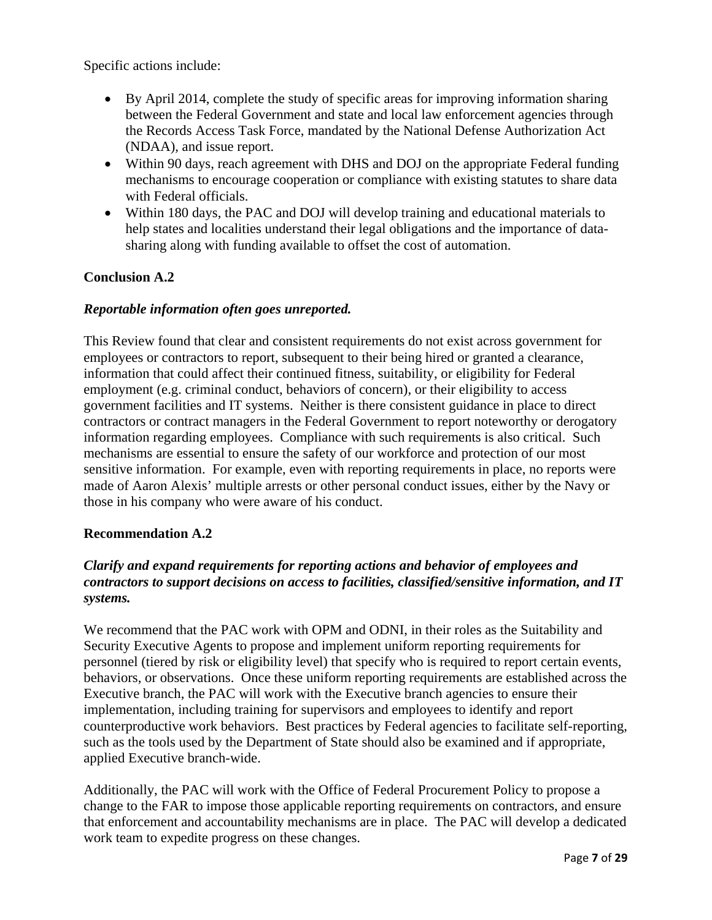Specific actions include:

- By April 2014, complete the study of specific areas for improving information sharing between the Federal Government and state and local law enforcement agencies through the Records Access Task Force, mandated by the National Defense Authorization Act (NDAA), and issue report.
- Within 90 days, reach agreement with DHS and DOJ on the appropriate Federal funding mechanisms to encourage cooperation or compliance with existing statutes to share data with Federal officials.
- Within 180 days, the PAC and DOJ will develop training and educational materials to help states and localities understand their legal obligations and the importance of datasharing along with funding available to offset the cost of automation.

#### **Conclusion A.2**

#### *Reportable information often goes unreported.*

This Review found that clear and consistent requirements do not exist across government for employees or contractors to report, subsequent to their being hired or granted a clearance, information that could affect their continued fitness, suitability, or eligibility for Federal employment (e.g. criminal conduct, behaviors of concern), or their eligibility to access government facilities and IT systems. Neither is there consistent guidance in place to direct contractors or contract managers in the Federal Government to report noteworthy or derogatory information regarding employees. Compliance with such requirements is also critical. Such mechanisms are essential to ensure the safety of our workforce and protection of our most sensitive information. For example, even with reporting requirements in place, no reports were made of Aaron Alexis' multiple arrests or other personal conduct issues, either by the Navy or those in his company who were aware of his conduct.

#### **Recommendation A.2**

#### *Clarify and expand requirements for reporting actions and behavior of employees and contractors to support decisions on access to facilities, classified/sensitive information, and IT systems.*

We recommend that the PAC work with OPM and ODNI, in their roles as the Suitability and Security Executive Agents to propose and implement uniform reporting requirements for personnel (tiered by risk or eligibility level) that specify who is required to report certain events, behaviors, or observations. Once these uniform reporting requirements are established across the Executive branch, the PAC will work with the Executive branch agencies to ensure their implementation, including training for supervisors and employees to identify and report counterproductive work behaviors. Best practices by Federal agencies to facilitate self-reporting, such as the tools used by the Department of State should also be examined and if appropriate, applied Executive branch-wide.

Additionally, the PAC will work with the Office of Federal Procurement Policy to propose a change to the FAR to impose those applicable reporting requirements on contractors, and ensure that enforcement and accountability mechanisms are in place. The PAC will develop a dedicated work team to expedite progress on these changes.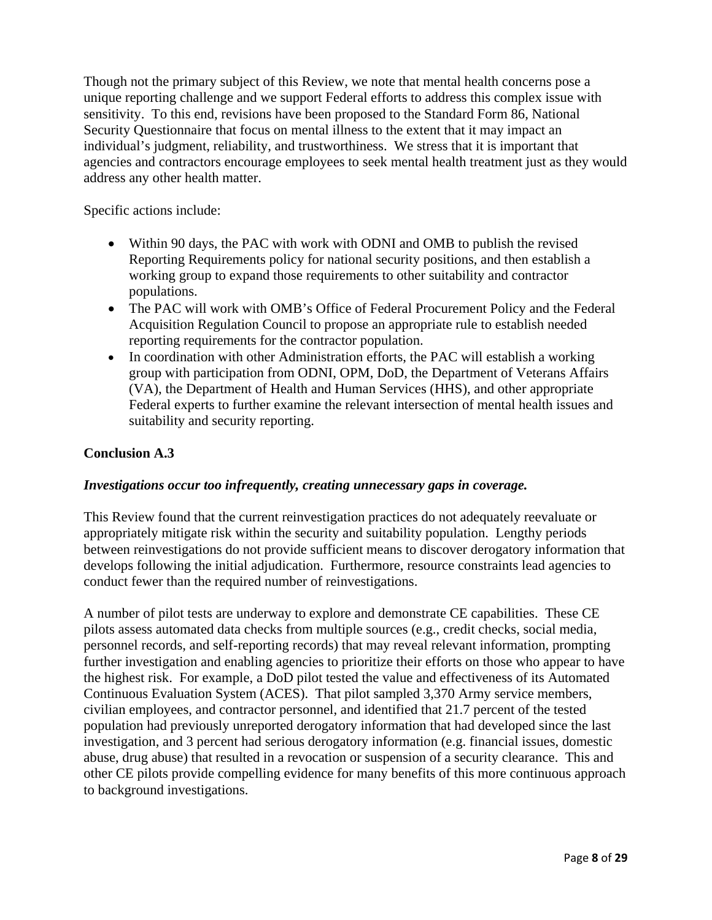Though not the primary subject of this Review, we note that mental health concerns pose a unique reporting challenge and we support Federal efforts to address this complex issue with sensitivity. To this end, revisions have been proposed to the Standard Form 86, National Security Questionnaire that focus on mental illness to the extent that it may impact an individual's judgment, reliability, and trustworthiness. We stress that it is important that agencies and contractors encourage employees to seek mental health treatment just as they would address any other health matter.

Specific actions include:

- Within 90 days, the PAC with work with ODNI and OMB to publish the revised Reporting Requirements policy for national security positions, and then establish a working group to expand those requirements to other suitability and contractor populations.
- The PAC will work with OMB's Office of Federal Procurement Policy and the Federal Acquisition Regulation Council to propose an appropriate rule to establish needed reporting requirements for the contractor population.
- In coordination with other Administration efforts, the PAC will establish a working group with participation from ODNI, OPM, DoD, the Department of Veterans Affairs (VA), the Department of Health and Human Services (HHS), and other appropriate Federal experts to further examine the relevant intersection of mental health issues and suitability and security reporting.

#### **Conclusion A.3**

#### *Investigations occur too infrequently, creating unnecessary gaps in coverage.*

This Review found that the current reinvestigation practices do not adequately reevaluate or appropriately mitigate risk within the security and suitability population. Lengthy periods between reinvestigations do not provide sufficient means to discover derogatory information that develops following the initial adjudication. Furthermore, resource constraints lead agencies to conduct fewer than the required number of reinvestigations.

A number of pilot tests are underway to explore and demonstrate CE capabilities. These CE pilots assess automated data checks from multiple sources (e.g., credit checks, social media, personnel records, and self-reporting records) that may reveal relevant information, prompting further investigation and enabling agencies to prioritize their efforts on those who appear to have the highest risk. For example, a DoD pilot tested the value and effectiveness of its Automated Continuous Evaluation System (ACES). That pilot sampled 3,370 Army service members, civilian employees, and contractor personnel, and identified that 21.7 percent of the tested population had previously unreported derogatory information that had developed since the last investigation, and 3 percent had serious derogatory information (e.g. financial issues, domestic abuse, drug abuse) that resulted in a revocation or suspension of a security clearance. This and other CE pilots provide compelling evidence for many benefits of this more continuous approach to background investigations.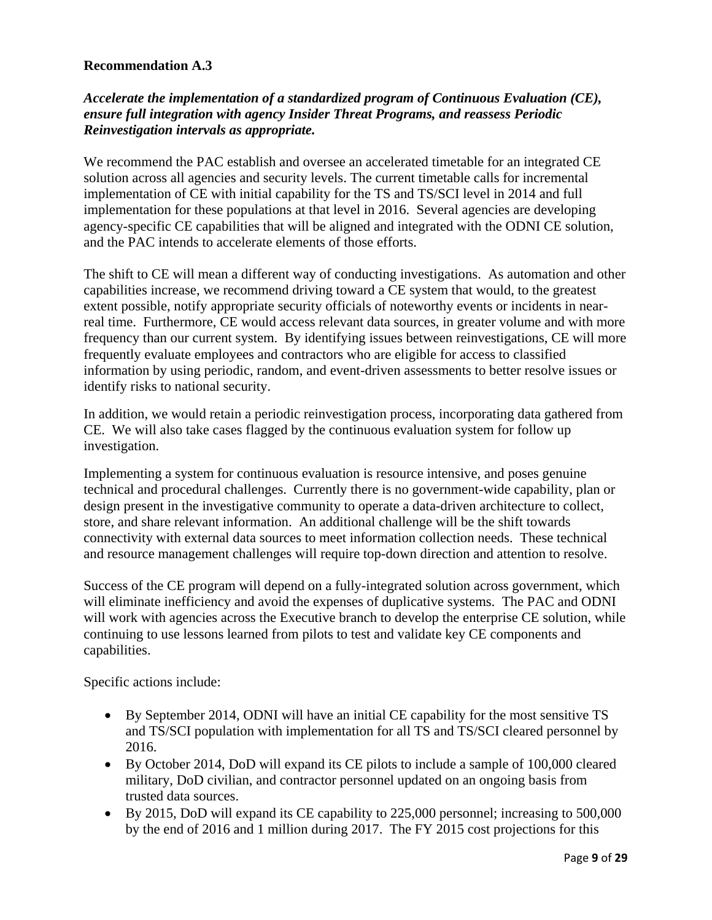#### **Recommendation A.3**

#### *Accelerate the implementation of a standardized program of Continuous Evaluation (CE), ensure full integration with agency Insider Threat Programs, and reassess Periodic Reinvestigation intervals as appropriate.*

We recommend the PAC establish and oversee an accelerated timetable for an integrated CE solution across all agencies and security levels. The current timetable calls for incremental implementation of CE with initial capability for the TS and TS/SCI level in 2014 and full implementation for these populations at that level in 2016. Several agencies are developing agency-specific CE capabilities that will be aligned and integrated with the ODNI CE solution, and the PAC intends to accelerate elements of those efforts.

The shift to CE will mean a different way of conducting investigations. As automation and other capabilities increase, we recommend driving toward a CE system that would, to the greatest extent possible, notify appropriate security officials of noteworthy events or incidents in nearreal time. Furthermore, CE would access relevant data sources, in greater volume and with more frequency than our current system. By identifying issues between reinvestigations, CE will more frequently evaluate employees and contractors who are eligible for access to classified information by using periodic, random, and event-driven assessments to better resolve issues or identify risks to national security.

In addition, we would retain a periodic reinvestigation process, incorporating data gathered from CE. We will also take cases flagged by the continuous evaluation system for follow up investigation.

Implementing a system for continuous evaluation is resource intensive, and poses genuine technical and procedural challenges. Currently there is no government-wide capability, plan or design present in the investigative community to operate a data-driven architecture to collect, store, and share relevant information. An additional challenge will be the shift towards connectivity with external data sources to meet information collection needs. These technical and resource management challenges will require top-down direction and attention to resolve.

Success of the CE program will depend on a fully-integrated solution across government, which will eliminate inefficiency and avoid the expenses of duplicative systems. The PAC and ODNI will work with agencies across the Executive branch to develop the enterprise CE solution, while continuing to use lessons learned from pilots to test and validate key CE components and capabilities.

Specific actions include:

- By September 2014, ODNI will have an initial CE capability for the most sensitive TS and TS/SCI population with implementation for all TS and TS/SCI cleared personnel by 2016.
- By October 2014, DoD will expand its CE pilots to include a sample of 100,000 cleared military, DoD civilian, and contractor personnel updated on an ongoing basis from trusted data sources.
- By 2015, DoD will expand its CE capability to 225,000 personnel; increasing to 500,000 by the end of 2016 and 1 million during 2017. The FY 2015 cost projections for this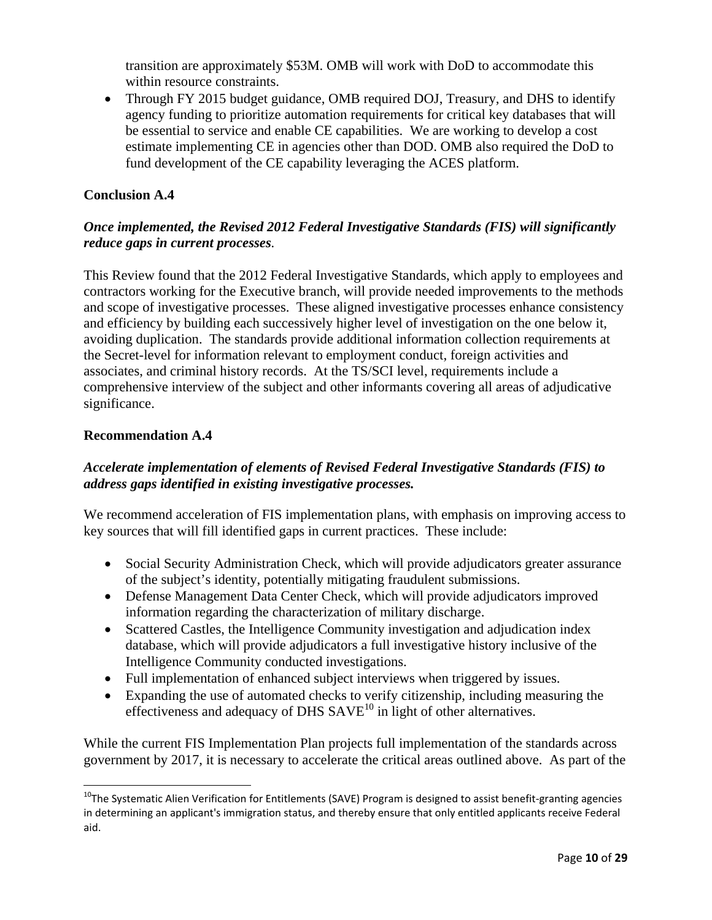transition are approximately \$53M. OMB will work with DoD to accommodate this within resource constraints.

 $\bullet$ Through FY 2015 budget guidance, OMB required DOJ, Treasury, and DHS to identify agency funding to prioritize automation requirements for critical key databases that will be essential to service and enable CE capabilities. We are working to develop a cost estimate implementing CE in agencies other than DOD. OMB also required the DoD to fund development of the CE capability leveraging the ACES platform.

#### **Conclusion A.4**

#### *Once implemented, the Revised 2012 Federal Investigative Standards (FIS) will significantly reduce gaps in current processes.*

 significance. This Review found that the 2012 Federal Investigative Standards, which apply to employees and contractors working for the Executive branch, will provide needed improvements to the methods and scope of investigative processes. These aligned investigative processes enhance consistency and efficiency by building each successively higher level of investigation on the one below it, avoiding duplication. The standards provide additional information collection requirements at the Secret-level for information relevant to employment conduct, foreign activities and associates, and criminal history records. At the TS/SCI level, requirements include a comprehensive interview of the subject and other informants covering all areas of adjudicative

#### **Recommendation A.4**

#### *Accelerate implementation of elements of Revised Federal Investigative Standards (FIS) to address gaps identified in existing investigative processes.*

We recommend acceleration of FIS implementation plans, with emphasis on improving access to key sources that will fill identified gaps in current practices. These include:

- Social Security Administration Check, which will provide adjudicators greater assurance of the subject's identity, potentially mitigating fraudulent submissions.
- Defense Management Data Center Check, which will provide adjudicators improved information regarding the characterization of military discharge.
- Scattered Castles, the Intelligence Community investigation and adjudication index database, which will provide adjudicators a full investigative history inclusive of the Intelligence Community conducted investigations.
- Full implementation of enhanced subject interviews when triggered by issues.
- Expanding the use of automated checks to verify citizenship, including measuring the effectiveness and adequacy of DHS  $SAVE<sup>10</sup>$  in light of other alternatives.

While the current FIS Implementation Plan projects full implementation of the standards across government by 2017, it is necessary to accelerate the critical areas outlined above. As part of the

 $^{10}$ The Systematic Alien Verification for Entitlements (SAVE) Program is designed to assist benefit-granting agencies in determining an applicant's immigration status, and thereby ensure that only entitled applicants receive Federal aid.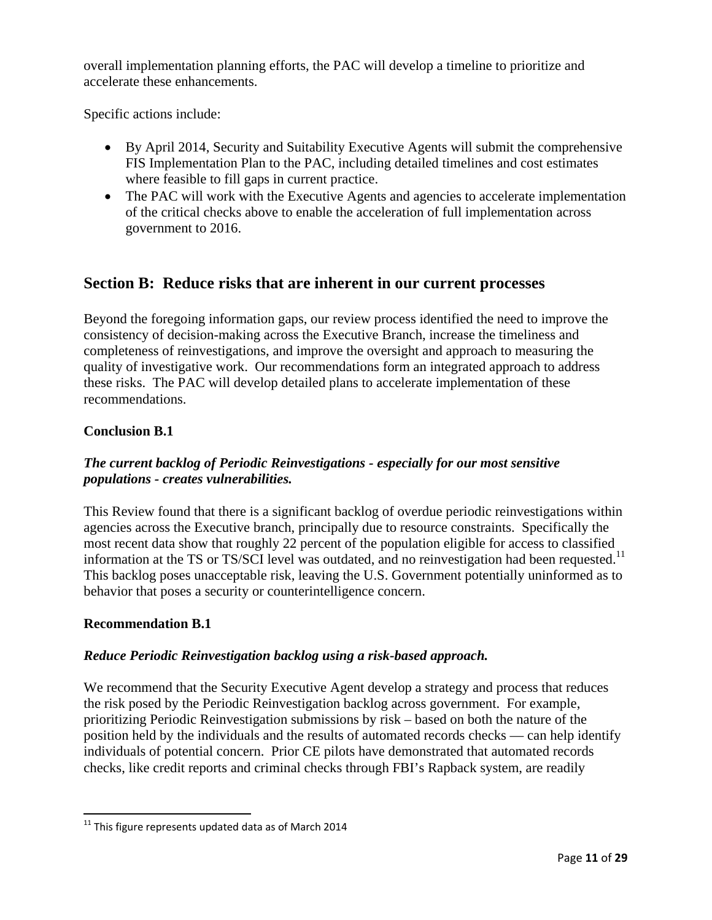overall implementation planning efforts, the PAC will develop a timeline to prioritize and accelerate these enhancements.

Specific actions include:

- By April 2014, Security and Suitability Executive Agents will submit the comprehensive FIS Implementation Plan to the PAC, including detailed timelines and cost estimates where feasible to fill gaps in current practice.
- The PAC will work with the Executive Agents and agencies to accelerate implementation of the critical checks above to enable the acceleration of full implementation across government to 2016.

## **Section B: Reduce risks that are inherent in our current processes**

Beyond the foregoing information gaps, our review process identified the need to improve the consistency of decision-making across the Executive Branch, increase the timeliness and completeness of reinvestigations, and improve the oversight and approach to measuring the quality of investigative work. Our recommendations form an integrated approach to address these risks. The PAC will develop detailed plans to accelerate implementation of these recommendations.

#### **Conclusion B.1**

#### *The current backlog of Periodic Reinvestigations - especially for our most sensitive populations - creates vulnerabilities.*

This Review found that there is a significant backlog of overdue periodic reinvestigations within agencies across the Executive branch, principally due to resource constraints. Specifically the most recent data show that roughly 22 percent of the population eligible for access to classified information at the TS or TS/SCI level was outdated, and no reinvestigation had been requested.<sup>11</sup> This backlog poses unacceptable risk, leaving the U.S. Government potentially uninformed as to behavior that poses a security or counterintelligence concern.

#### **Recommendation B.1**

#### *Reduce Periodic Reinvestigation backlog using a risk-based approach.*

We recommend that the Security Executive Agent develop a strategy and process that reduces the risk posed by the Periodic Reinvestigation backlog across government. For example, prioritizing Periodic Reinvestigation submissions by risk – based on both the nature of the position held by the individuals and the results of automated records checks — can help identify individuals of potential concern. Prior CE pilots have demonstrated that automated records checks, like credit reports and criminal checks through FBI's Rapback system, are readily

 $^{11}$  This figure represents updated data as of March 2014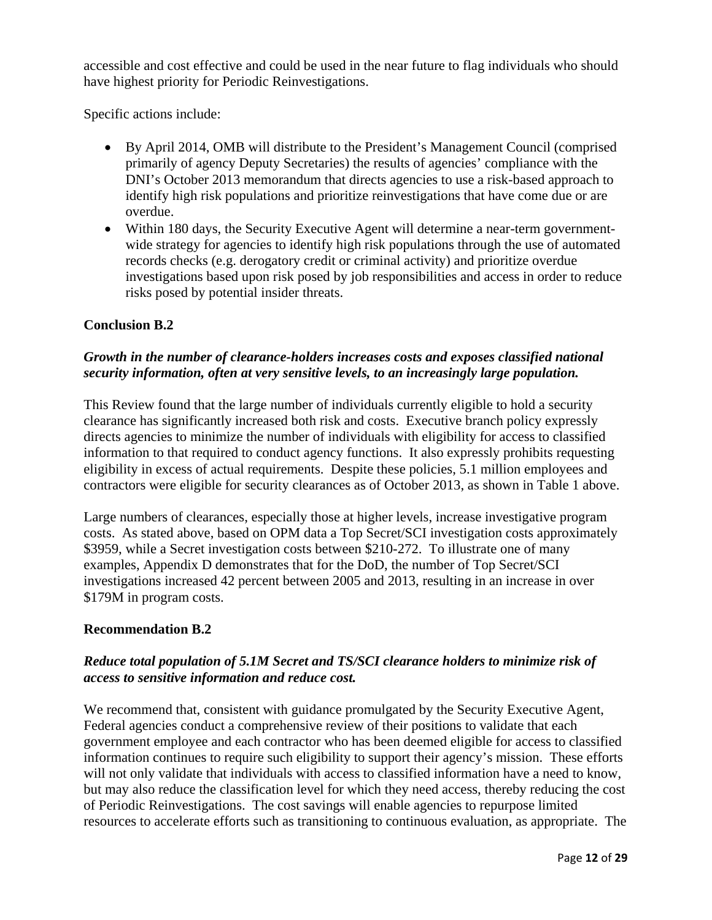accessible and cost effective and could be used in the near future to flag individuals who should have highest priority for Periodic Reinvestigations.

Specific actions include:

- By April 2014, OMB will distribute to the President's Management Council (comprised primarily of agency Deputy Secretaries) the results of agencies' compliance with the DNI's October 2013 memorandum that directs agencies to use a risk-based approach to identify high risk populations and prioritize reinvestigations that have come due or are overdue.
- Within 180 days, the Security Executive Agent will determine a near-term governmentwide strategy for agencies to identify high risk populations through the use of automated records checks (e.g. derogatory credit or criminal activity) and prioritize overdue investigations based upon risk posed by job responsibilities and access in order to reduce risks posed by potential insider threats.

#### **Conclusion B.2**

#### *Growth in the number of clearance-holders increases costs and exposes classified national security information, often at very sensitive levels, to an increasingly large population.*

This Review found that the large number of individuals currently eligible to hold a security clearance has significantly increased both risk and costs. Executive branch policy expressly directs agencies to minimize the number of individuals with eligibility for access to classified information to that required to conduct agency functions. It also expressly prohibits requesting eligibility in excess of actual requirements. Despite these policies, 5.1 million employees and contractors were eligible for security clearances as of October 2013, as shown in Table 1 above.

Large numbers of clearances, especially those at higher levels, increase investigative program costs. As stated above, based on OPM data a Top Secret/SCI investigation costs approximately \$3959, while a Secret investigation costs between \$210-272. To illustrate one of many examples, Appendix D demonstrates that for the DoD, the number of Top Secret/SCI investigations increased 42 percent between 2005 and 2013, resulting in an increase in over \$179M in program costs.

#### **Recommendation B.2**

#### *access to sensitive information and reduce cost. Reduce total population of 5.1M Secret and TS/SCI clearance holders to minimize risk of*

We recommend that, consistent with guidance promulgated by the Security Executive Agent, Federal agencies conduct a comprehensive review of their positions to validate that each government employee and each contractor who has been deemed eligible for access to classified information continues to require such eligibility to support their agency's mission. These efforts will not only validate that individuals with access to classified information have a need to know, but may also reduce the classification level for which they need access, thereby reducing the cost of Periodic Reinvestigations. The cost savings will enable agencies to repurpose limited resources to accelerate efforts such as transitioning to continuous evaluation, as appropriate. The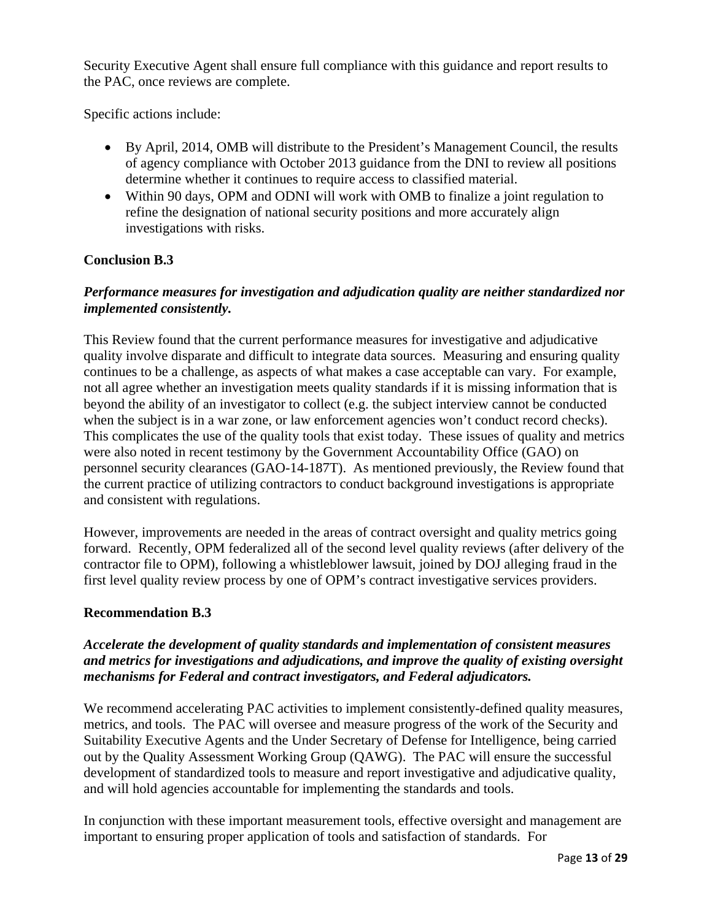Security Executive Agent shall ensure full compliance with this guidance and report results to the PAC, once reviews are complete.

Specific actions include:

- By April, 2014, OMB will distribute to the President's Management Council, the results of agency compliance with October 2013 guidance from the DNI to review all positions determine whether it continues to require access to classified material.
- Within 90 days, OPM and ODNI will work with OMB to finalize a joint regulation to refine the designation of national security positions and more accurately align investigations with risks.

#### **Conclusion B.3**

#### *Performance measures for investigation and adjudication quality are neither standardized nor implemented consistently.*

This Review found that the current performance measures for investigative and adjudicative quality involve disparate and difficult to integrate data sources. Measuring and ensuring quality continues to be a challenge, as aspects of what makes a case acceptable can vary. For example, not all agree whether an investigation meets quality standards if it is missing information that is beyond the ability of an investigator to collect (e.g. the subject interview cannot be conducted when the subject is in a war zone, or law enforcement agencies won't conduct record checks). This complicates the use of the quality tools that exist today. These issues of quality and metrics were also noted in recent testimony by the Government Accountability Office (GAO) on personnel security clearances (GAO-14-187T). As mentioned previously, the Review found that the current practice of utilizing contractors to conduct background investigations is appropriate and consistent with regulations.

However, improvements are needed in the areas of contract oversight and quality metrics going forward. Recently, OPM federalized all of the second level quality reviews (after delivery of the contractor file to OPM), following a whistleblower lawsuit, joined by DOJ alleging fraud in the first level quality review process by one of OPM's contract investigative services providers.

#### **Recommendation B.3**

#### *Accelerate the development of quality standards and implementation of consistent measures and metrics for investigations and adjudications, and improve the quality of existing oversight mechanisms for Federal and contract investigators, and Federal adjudicators.*

We recommend accelerating PAC activities to implement consistently-defined quality measures, metrics, and tools. The PAC will oversee and measure progress of the work of the Security and Suitability Executive Agents and the Under Secretary of Defense for Intelligence, being carried out by the Quality Assessment Working Group (QAWG). The PAC will ensure the successful development of standardized tools to measure and report investigative and adjudicative quality, and will hold agencies accountable for implementing the standards and tools.

In conjunction with these important measurement tools, effective oversight and management are important to ensuring proper application of tools and satisfaction of standards. For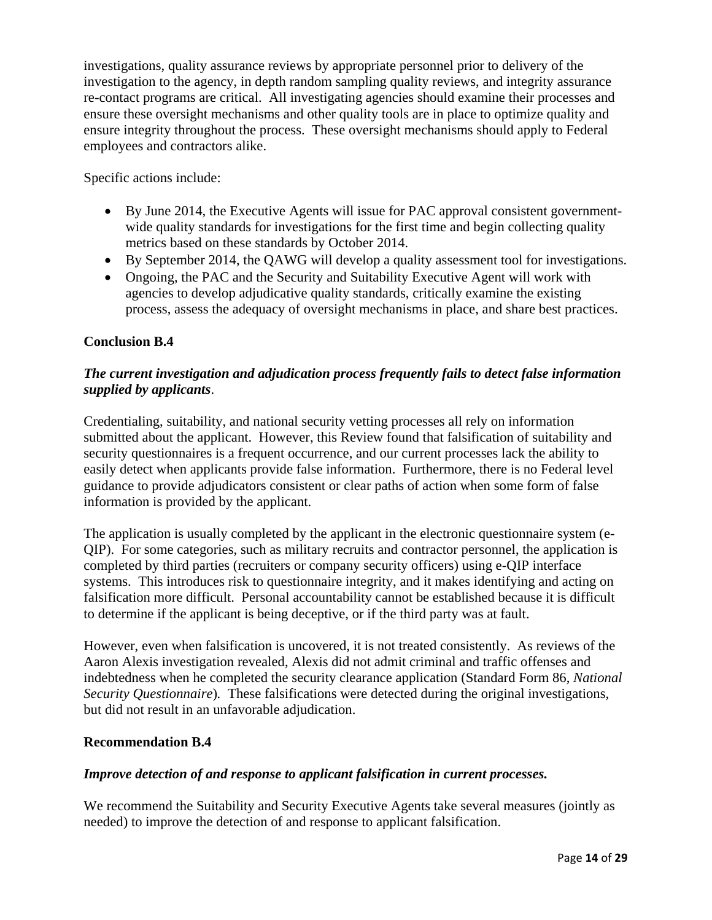investigations, quality assurance reviews by appropriate personnel prior to delivery of the investigation to the agency, in depth random sampling quality reviews, and integrity assurance re-contact programs are critical. All investigating agencies should examine their processes and ensure these oversight mechanisms and other quality tools are in place to optimize quality and ensure integrity throughout the process. These oversight mechanisms should apply to Federal employees and contractors alike.

Specific actions include:

- By June 2014, the Executive Agents will issue for PAC approval consistent governmentwide quality standards for investigations for the first time and begin collecting quality metrics based on these standards by October 2014.
- By September 2014, the QAWG will develop a quality assessment tool for investigations.
- Ongoing, the PAC and the Security and Suitability Executive Agent will work with agencies to develop adjudicative quality standards, critically examine the existing process, assess the adequacy of oversight mechanisms in place, and share best practices.

#### **Conclusion B.4**

#### *The current investigation and adjudication process frequently fails to detect false information supplied by applicants*.

Credentialing, suitability, and national security vetting processes all rely on information submitted about the applicant. However, this Review found that falsification of suitability and security questionnaires is a frequent occurrence, and our current processes lack the ability to easily detect when applicants provide false information. Furthermore, there is no Federal level guidance to provide adjudicators consistent or clear paths of action when some form of false information is provided by the applicant.

The application is usually completed by the applicant in the electronic questionnaire system (e-QIP). For some categories, such as military recruits and contractor personnel, the application is completed by third parties (recruiters or company security officers) using e-QIP interface systems. This introduces risk to questionnaire integrity, and it makes identifying and acting on falsification more difficult. Personal accountability cannot be established because it is difficult to determine if the applicant is being deceptive, or if the third party was at fault.

However, even when falsification is uncovered, it is not treated consistently. As reviews of the Aaron Alexis investigation revealed, Alexis did not admit criminal and traffic offenses and indebtedness when he completed the security clearance application (Standard Form 86, *National Security Questionnaire*)*.* These falsifications were detected during the original investigations, but did not result in an unfavorable adjudication.

#### **Recommendation B.4**

#### *Improve detection of and response to applicant falsification in current processes.*

We recommend the Suitability and Security Executive Agents take several measures (jointly as needed) to improve the detection of and response to applicant falsification.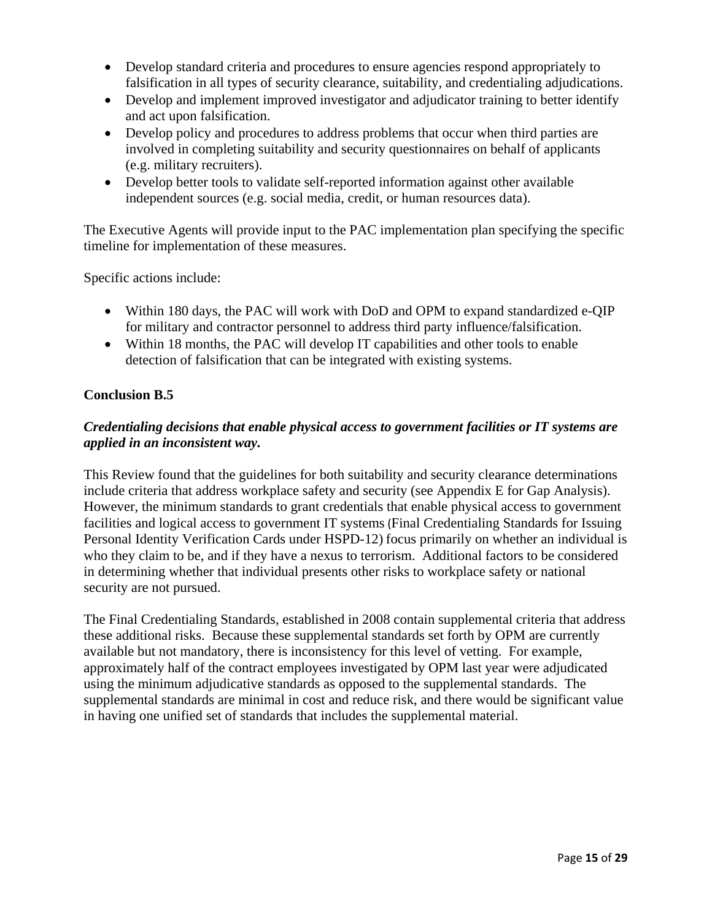- Develop standard criteria and procedures to ensure agencies respond appropriately to falsification in all types of security clearance, suitability, and credentialing adjudications.
- Develop and implement improved investigator and adjudicator training to better identify and act upon falsification.
- Develop policy and procedures to address problems that occur when third parties are involved in completing suitability and security questionnaires on behalf of applicants (e.g. military recruiters).
- Develop better tools to validate self-reported information against other available independent sources (e.g. social media, credit, or human resources data).

The Executive Agents will provide input to the PAC implementation plan specifying the specific timeline for implementation of these measures.

Specific actions include:

- Within 180 days, the PAC will work with DoD and OPM to expand standardized e-QIP for military and contractor personnel to address third party influence/falsification.
- Within 18 months, the PAC will develop IT capabilities and other tools to enable detection of falsification that can be integrated with existing systems.

#### **Conclusion B.5**

#### *Credentialing decisions that enable physical access to government facilities or IT systems are applied in an inconsistent way.*

This Review found that the guidelines for both suitability and security clearance determinations include criteria that address workplace safety and security (see Appendix E for Gap Analysis). However, the minimum standards to grant credentials that enable physical access to government facilities and logical access to government IT systems (Final Credentialing Standards for Issuing Personal Identity Verification Cards under HSPD-12) focus primarily on whether an individual is who they claim to be, and if they have a nexus to terrorism. Additional factors to be considered in determining whether that individual presents other risks to workplace safety or national security are not pursued.

The Final Credentialing Standards, established in 2008 contain supplemental criteria that address these additional risks. Because these supplemental standards set forth by OPM are currently available but not mandatory, there is inconsistency for this level of vetting. For example, approximately half of the contract employees investigated by OPM last year were adjudicated using the minimum adjudicative standards as opposed to the supplemental standards. The supplemental standards are minimal in cost and reduce risk, and there would be significant value in having one unified set of standards that includes the supplemental material.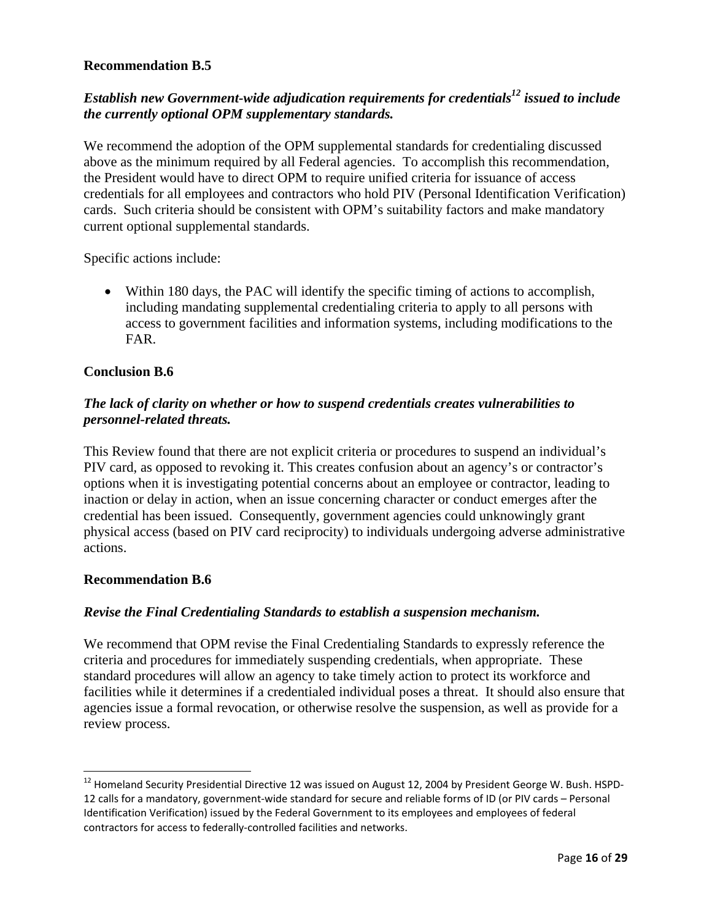#### **Recommendation B.5**

#### *Establish new Government-wide adjudication requirements for credentials<sup>12</sup> issued to include the currently optional OPM supplementary standards.*

We recommend the adoption of the OPM supplemental standards for credentialing discussed above as the minimum required by all Federal agencies. To accomplish this recommendation, the President would have to direct OPM to require unified criteria for issuance of access credentials for all employees and contractors who hold PIV (Personal Identification Verification) cards. Such criteria should be consistent with OPM's suitability factors and make mandatory current optional supplemental standards.

Specific actions include:

 Within 180 days, the PAC will identify the specific timing of actions to accomplish, including mandating supplemental credentialing criteria to apply to all persons with access to government facilities and information systems, including modifications to the FAR.

#### **Conclusion B.6**

#### *The lack of clarity on whether or how to suspend credentials creates vulnerabilities to personnel-related threats.*

This Review found that there are not explicit criteria or procedures to suspend an individual's PIV card, as opposed to revoking it. This creates confusion about an agency's or contractor's options when it is investigating potential concerns about an employee or contractor, leading to inaction or delay in action, when an issue concerning character or conduct emerges after the credential has been issued. Consequently, government agencies could unknowingly grant physical access (based on PIV card reciprocity) to individuals undergoing adverse administrative actions.

#### **Recommendation B.6**

#### *Revise the Final Credentialing Standards to establish a suspension mechanism.*

We recommend that OPM revise the Final Credentialing Standards to expressly reference the criteria and procedures for immediately suspending credentials, when appropriate. These standard procedures will allow an agency to take timely action to protect its workforce and facilities while it determines if a credentialed individual poses a threat. It should also ensure that agencies issue a formal revocation, or otherwise resolve the suspension, as well as provide for a review process.

<sup>&</sup>lt;sup>12</sup> Homeland Security Presidential Directive 12 was issued on August 12, 2004 by President George W. Bush. HSPD-12 calls for a mandatory, government‐wide standard for secure and reliable forms of ID (or PIV cards – Personal Identification Verification) issued by the Federal Government to its employees and employees of federal contractors for access to federally‐controlled facilities and networks.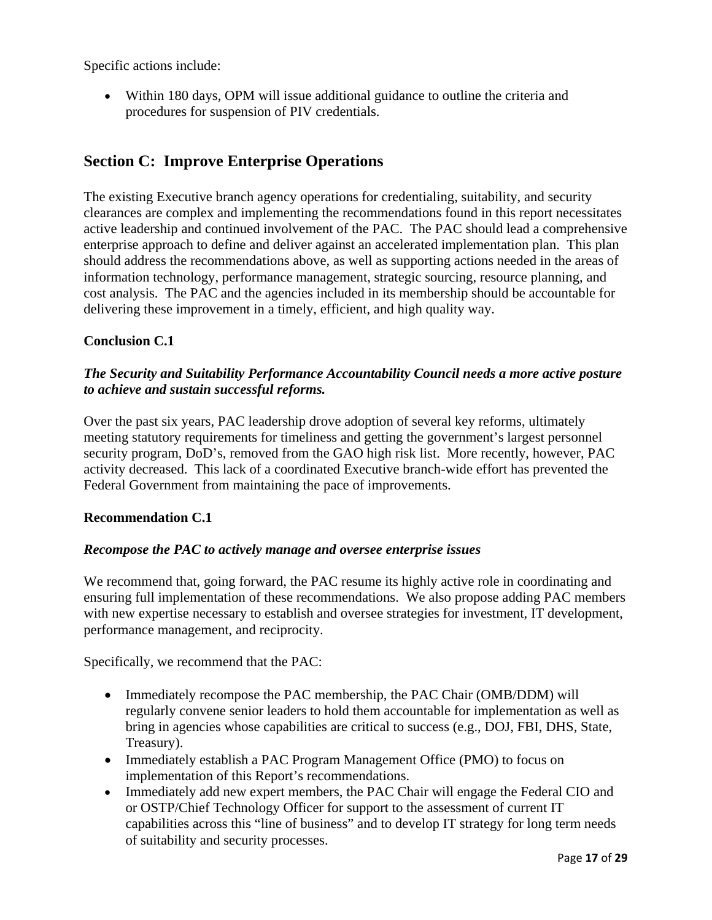Specific actions include:

 Within 180 days, OPM will issue additional guidance to outline the criteria and procedures for suspension of PIV credentials.

## **Section C: Improve Enterprise Operations**

The existing Executive branch agency operations for credentialing, suitability, and security clearances are complex and implementing the recommendations found in this report necessitates active leadership and continued involvement of the PAC. The PAC should lead a comprehensive enterprise approach to define and deliver against an accelerated implementation plan. This plan should address the recommendations above, as well as supporting actions needed in the areas of information technology, performance management, strategic sourcing, resource planning, and cost analysis. The PAC and the agencies included in its membership should be accountable for delivering these improvement in a timely, efficient, and high quality way.

#### **Conclusion C.1**

#### *The Security and Suitability Performance Accountability Council needs a more active posture to achieve and sustain successful reforms.*

Over the past six years, PAC leadership drove adoption of several key reforms, ultimately meeting statutory requirements for timeliness and getting the government's largest personnel security program, DoD's, removed from the GAO high risk list. More recently, however, PAC activity decreased. This lack of a coordinated Executive branch-wide effort has prevented the Federal Government from maintaining the pace of improvements.

#### **Recommendation C.1**

#### *Recompose the PAC to actively manage and oversee enterprise issues*

We recommend that, going forward, the PAC resume its highly active role in coordinating and ensuring full implementation of these recommendations. We also propose adding PAC members with new expertise necessary to establish and oversee strategies for investment, IT development, performance management, and reciprocity.

Specifically, we recommend that the PAC:

- Immediately recompose the PAC membership, the PAC Chair (OMB/DDM) will regularly convene senior leaders to hold them accountable for implementation as well as bring in agencies whose capabilities are critical to success (e.g., DOJ, FBI, DHS, State, Treasury).
- Immediately establish a PAC Program Management Office (PMO) to focus on implementation of this Report's recommendations.
- Immediately add new expert members, the PAC Chair will engage the Federal CIO and or OSTP/Chief Technology Officer for support to the assessment of current IT capabilities across this "line of business" and to develop IT strategy for long term needs of suitability and security processes.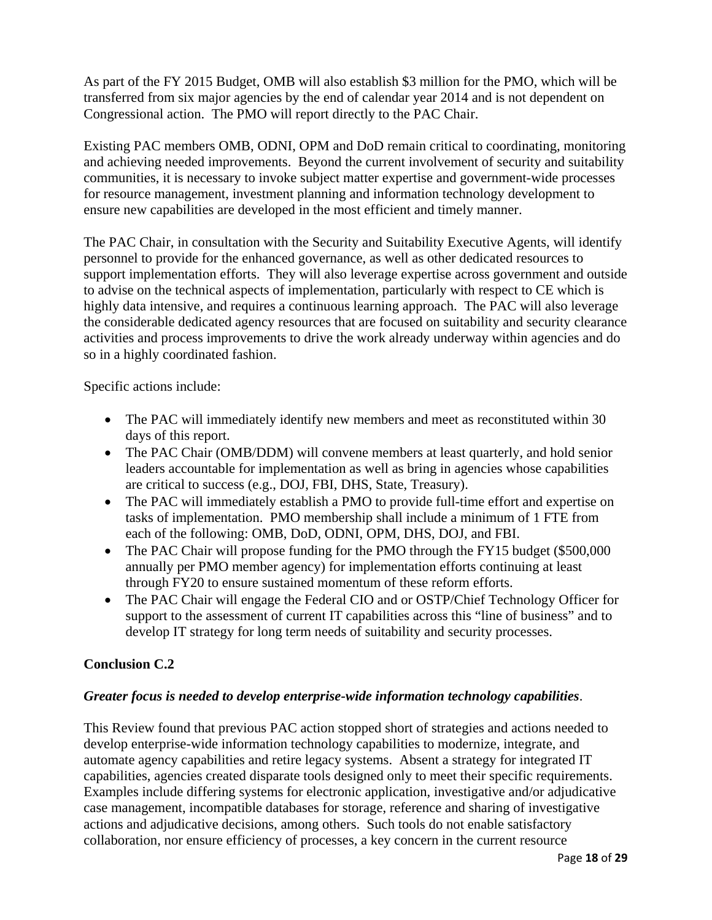As part of the FY 2015 Budget, OMB will also establish \$3 million for the PMO, which will be transferred from six major agencies by the end of calendar year 2014 and is not dependent on Congressional action. The PMO will report directly to the PAC Chair.

Existing PAC members OMB, ODNI, OPM and DoD remain critical to coordinating, monitoring and achieving needed improvements. Beyond the current involvement of security and suitability communities, it is necessary to invoke subject matter expertise and government-wide processes for resource management, investment planning and information technology development to ensure new capabilities are developed in the most efficient and timely manner.

The PAC Chair, in consultation with the Security and Suitability Executive Agents, will identify personnel to provide for the enhanced governance, as well as other dedicated resources to support implementation efforts. They will also leverage expertise across government and outside to advise on the technical aspects of implementation, particularly with respect to CE which is highly data intensive, and requires a continuous learning approach. The PAC will also leverage the considerable dedicated agency resources that are focused on suitability and security clearance activities and process improvements to drive the work already underway within agencies and do so in a highly coordinated fashion.

Specific actions include:

- The PAC will immediately identify new members and meet as reconstituted within 30 days of this report.
- The PAC Chair (OMB/DDM) will convene members at least quarterly, and hold senior leaders accountable for implementation as well as bring in agencies whose capabilities are critical to success (e.g., DOJ, FBI, DHS, State, Treasury).
- The PAC will immediately establish a PMO to provide full-time effort and expertise on tasks of implementation. PMO membership shall include a minimum of 1 FTE from each of the following: OMB, DoD, ODNI, OPM, DHS, DOJ, and FBI.
- The PAC Chair will propose funding for the PMO through the FY15 budget (\$500,000 annually per PMO member agency) for implementation efforts continuing at least through FY20 to ensure sustained momentum of these reform efforts.
- $\bullet$ The PAC Chair will engage the Federal CIO and or OSTP/Chief Technology Officer for support to the assessment of current IT capabilities across this "line of business" and to develop IT strategy for long term needs of suitability and security processes.

#### **Conclusion C.2**

#### *Greater focus is needed to develop enterprise-wide information technology capabilities*.

This Review found that previous PAC action stopped short of strategies and actions needed to develop enterprise-wide information technology capabilities to modernize, integrate, and automate agency capabilities and retire legacy systems. Absent a strategy for integrated IT capabilities, agencies created disparate tools designed only to meet their specific requirements. Examples include differing systems for electronic application, investigative and/or adjudicative case management, incompatible databases for storage, reference and sharing of investigative actions and adjudicative decisions, among others. Such tools do not enable satisfactory collaboration, nor ensure efficiency of processes, a key concern in the current resource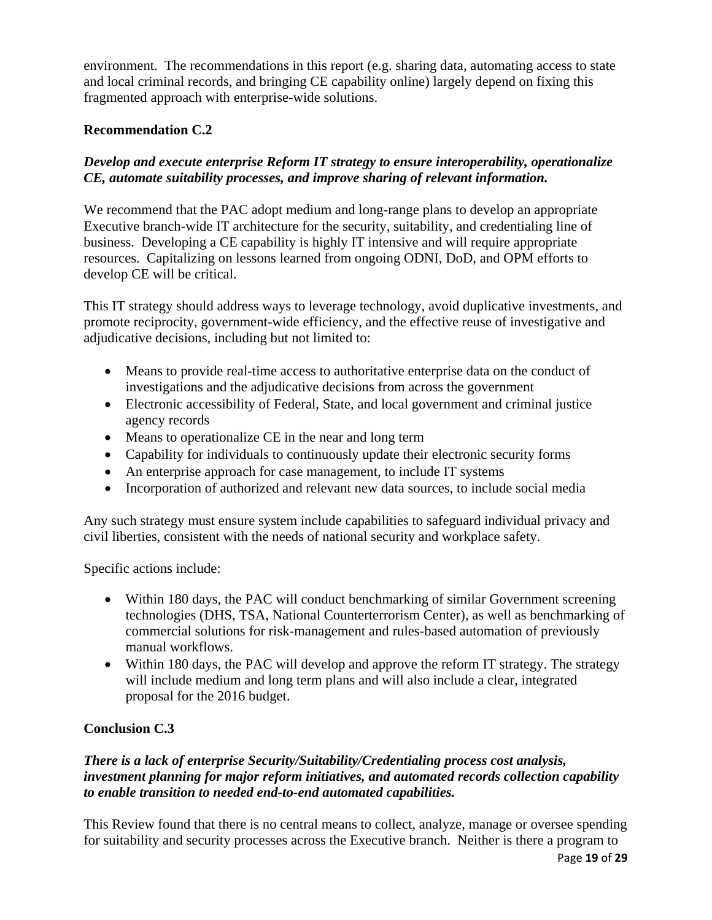environment. The recommendations in this report (e.g. sharing data, automating access to state and local criminal records, and bringing CE capability online) largely depend on fixing this fragmented approach with enterprise-wide solutions.

#### **Recommendation C.2**

#### *Develop and execute enterprise Reform IT strategy to ensure interoperability, operationalize CE, automate suitability processes, and improve sharing of relevant information.*

We recommend that the PAC adopt medium and long-range plans to develop an appropriate Executive branch-wide IT architecture for the security, suitability, and credentialing line of business. Developing a CE capability is highly IT intensive and will require appropriate resources. Capitalizing on lessons learned from ongoing ODNI, DoD, and OPM efforts to develop CE will be critical.

This IT strategy should address ways to leverage technology, avoid duplicative investments, and promote reciprocity, government-wide efficiency, and the effective reuse of investigative and adjudicative decisions, including but not limited to:

- Means to provide real-time access to authoritative enterprise data on the conduct of investigations and the adjudicative decisions from across the government
- agency records Electronic accessibility of Federal, State, and local government and criminal justice
- Means to operationalize CE in the near and long term
- Capability for individuals to continuously update their electronic security forms
- An enterprise approach for case management, to include IT systems
- Incorporation of authorized and relevant new data sources, to include social media

Any such strategy must ensure system include capabilities to safeguard individual privacy and civil liberties, consistent with the needs of national security and workplace safety.

Specific actions include:

- Within 180 days, the PAC will conduct benchmarking of similar Government screening technologies (DHS, TSA, National Counterterrorism Center), as well as benchmarking of commercial solutions for risk-management and rules-based automation of previously manual workflows.
- Within 180 days, the PAC will develop and approve the reform IT strategy. The strategy will include medium and long term plans and will also include a clear, integrated proposal for the 2016 budget.

#### **Conclusion C.3**

#### *There is a lack of enterprise Security/Suitability/Credentialing process cost analysis, investment planning for major reform initiatives, and automated records collection capability to enable transition to needed end-to-end automated capabilities.*

This Review found that there is no central means to collect, analyze, manage or oversee spending for suitability and security processes across the Executive branch. Neither is there a program to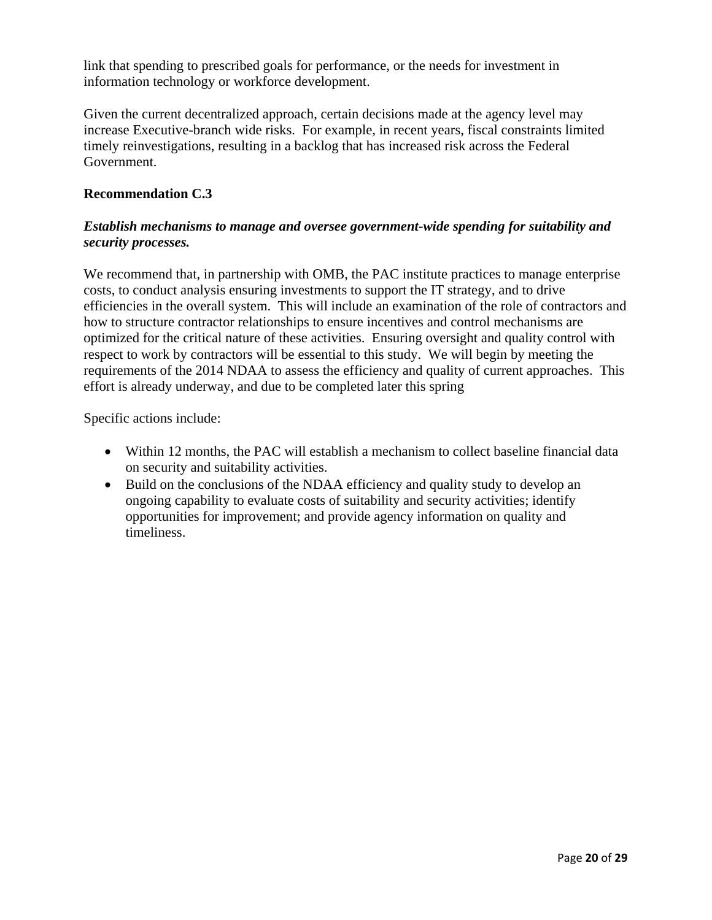link that spending to prescribed goals for performance, or the needs for investment in information technology or workforce development.

Given the current decentralized approach, certain decisions made at the agency level may increase Executive-branch wide risks. For example, in recent years, fiscal constraints limited timely reinvestigations, resulting in a backlog that has increased risk across the Federal Government.

#### **Recommendation C.3**

#### *Establish mechanisms to manage and oversee government-wide spending for suitability and security processes.*

We recommend that, in partnership with OMB, the PAC institute practices to manage enterprise costs, to conduct analysis ensuring investments to support the IT strategy, and to drive efficiencies in the overall system. This will include an examination of the role of contractors and how to structure contractor relationships to ensure incentives and control mechanisms are optimized for the critical nature of these activities. Ensuring oversight and quality control with respect to work by contractors will be essential to this study. We will begin by meeting the requirements of the 2014 NDAA to assess the efficiency and quality of current approaches. This effort is already underway, and due to be completed later this spring

Specific actions include:

- Within 12 months, the PAC will establish a mechanism to collect baseline financial data on security and suitability activities.
- Build on the conclusions of the NDAA efficiency and quality study to develop an ongoing capability to evaluate costs of suitability and security activities; identify opportunities for improvement; and provide agency information on quality and timeliness.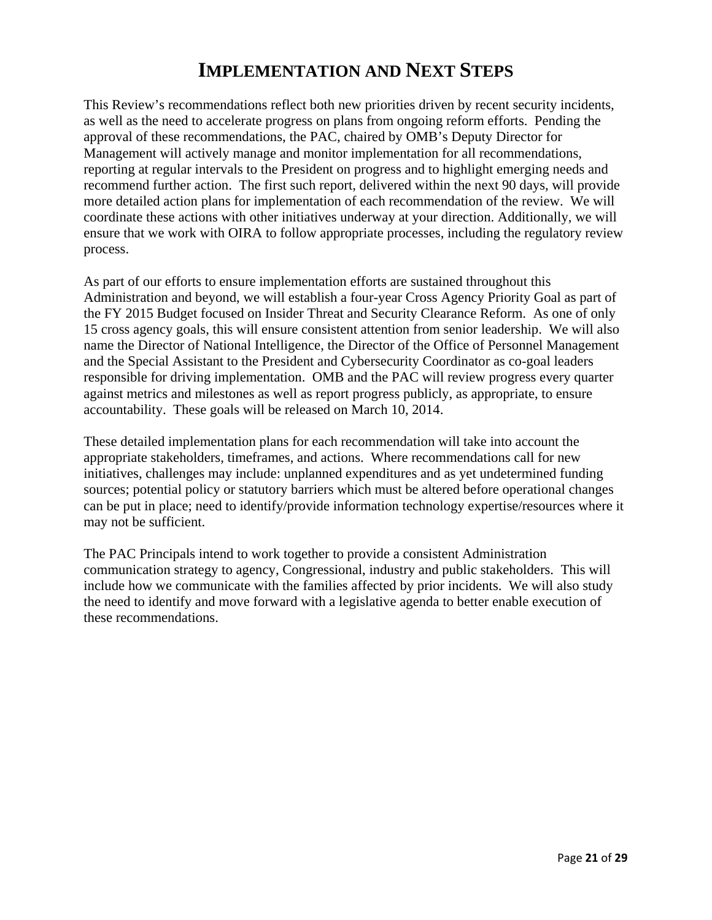## **IMPLEMENTATION AND NEXT STEPS**

This Review's recommendations reflect both new priorities driven by recent security incidents, as well as the need to accelerate progress on plans from ongoing reform efforts. Pending the approval of these recommendations, the PAC, chaired by OMB's Deputy Director for Management will actively manage and monitor implementation for all recommendations, reporting at regular intervals to the President on progress and to highlight emerging needs and recommend further action. The first such report, delivered within the next 90 days, will provide more detailed action plans for implementation of each recommendation of the review. We will coordinate these actions with other initiatives underway at your direction. Additionally, we will ensure that we work with OIRA to follow appropriate processes, including the regulatory review process.

As part of our efforts to ensure implementation efforts are sustained throughout this Administration and beyond, we will establish a four-year Cross Agency Priority Goal as part of the FY 2015 Budget focused on Insider Threat and Security Clearance Reform. As one of only 15 cross agency goals, this will ensure consistent attention from senior leadership. We will also name the Director of National Intelligence, the Director of the Office of Personnel Management and the Special Assistant to the President and Cybersecurity Coordinator as co-goal leaders responsible for driving implementation. OMB and the PAC will review progress every quarter against metrics and milestones as well as report progress publicly, as appropriate, to ensure accountability. These goals will be released on March 10, 2014.

These detailed implementation plans for each recommendation will take into account the appropriate stakeholders, timeframes, and actions. Where recommendations call for new initiatives, challenges may include: unplanned expenditures and as yet undetermined funding sources; potential policy or statutory barriers which must be altered before operational changes can be put in place; need to identify/provide information technology expertise/resources where it may not be sufficient.

The PAC Principals intend to work together to provide a consistent Administration communication strategy to agency, Congressional, industry and public stakeholders. This will include how we communicate with the families affected by prior incidents. We will also study the need to identify and move forward with a legislative agenda to better enable execution of these recommendations.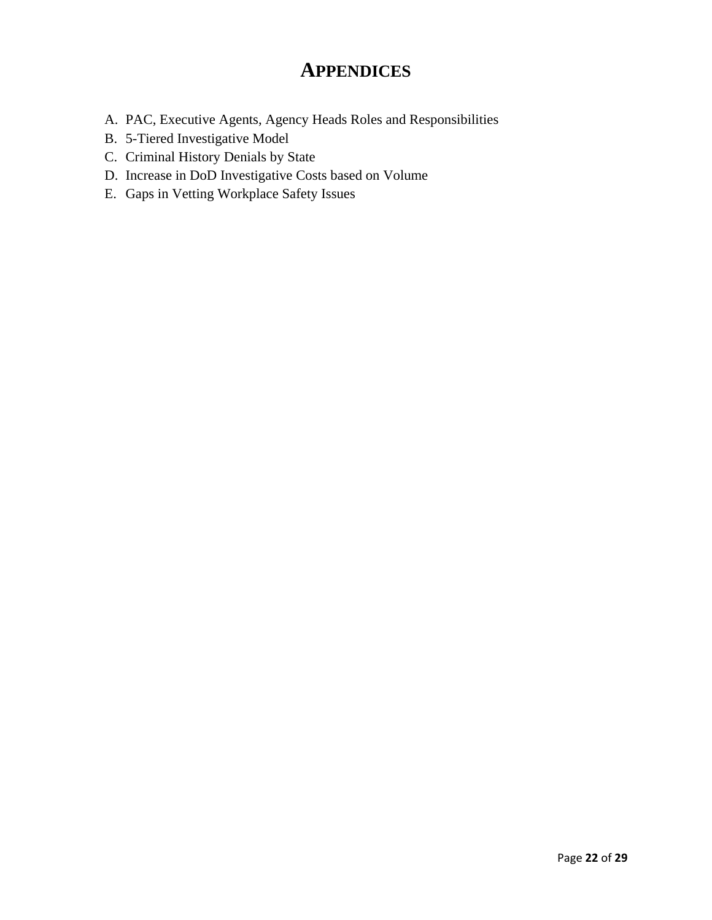## **APPENDICES**

- A. PAC, Executive Agents, Agency Heads Roles and Responsibilities
- B. 5-Tiered Investigative Model
- C. Criminal History Denials by State
- D. Increase in DoD Investigative Costs based on Volume
- E. Gaps in Vetting Workplace Safety Issues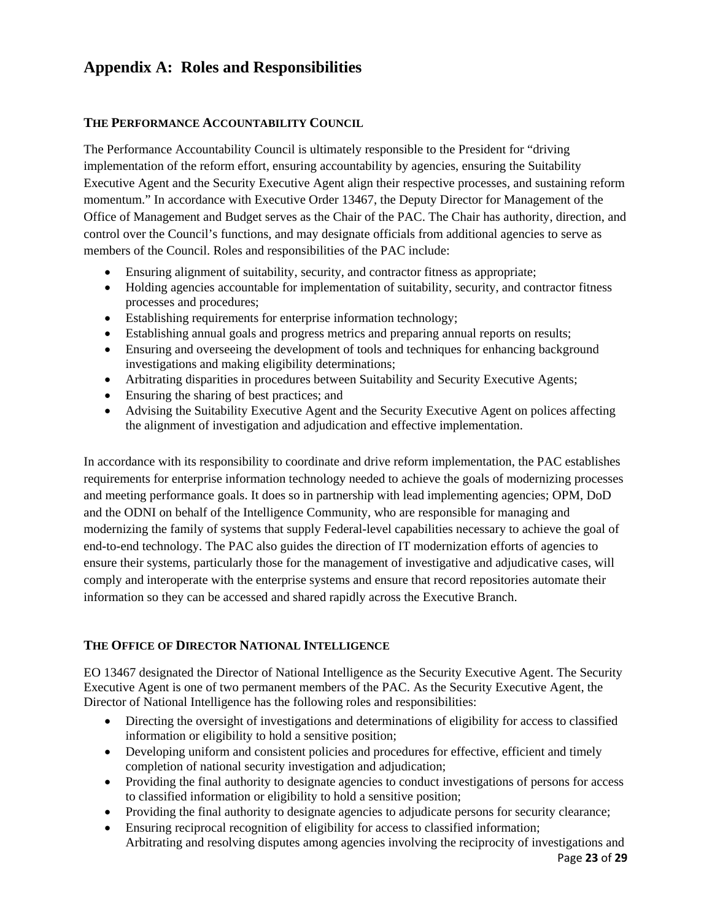## **Appendix A: Roles and Responsibilities**

#### **THE PERFORMANCE ACCOUNTABILITY COUNCIL**

The Performance Accountability Council is ultimately responsible to the President for "driving implementation of the reform effort, ensuring accountability by agencies, ensuring the Suitability Executive Agent and the Security Executive Agent align their respective processes, and sustaining reform momentum." In accordance with Executive Order 13467, the Deputy Director for Management of the Office of Management and Budget serves as the Chair of the PAC. The Chair has authority, direction, and control over the Council's functions, and may designate officials from additional agencies to serve as members of the Council. Roles and responsibilities of the PAC include:

- Ensuring alignment of suitability, security, and contractor fitness as appropriate;
- Holding agencies accountable for implementation of suitability, security, and contractor fitness processes and procedures;
- Establishing requirements for enterprise information technology;
- Establishing annual goals and progress metrics and preparing annual reports on results;
- Ensuring and overseeing the development of tools and techniques for enhancing background investigations and making eligibility determinations;
- Arbitrating disparities in procedures between Suitability and Security Executive Agents;
- Ensuring the sharing of best practices; and
- Advising the Suitability Executive Agent and the Security Executive Agent on polices affecting the alignment of investigation and adjudication and effective implementation.

In accordance with its responsibility to coordinate and drive reform implementation, the PAC establishes requirements for enterprise information technology needed to achieve the goals of modernizing processes and meeting performance goals. It does so in partnership with lead implementing agencies; OPM, DoD and the ODNI on behalf of the Intelligence Community, who are responsible for managing and modernizing the family of systems that supply Federal-level capabilities necessary to achieve the goal of end-to-end technology. The PAC also guides the direction of IT modernization efforts of agencies to ensure their systems, particularly those for the management of investigative and adjudicative cases, will comply and interoperate with the enterprise systems and ensure that record repositories automate their information so they can be accessed and shared rapidly across the Executive Branch.

#### **THE OFFICE OF DIRECTOR NATIONAL INTELLIGENCE**

EO 13467 designated the Director of National Intelligence as the Security Executive Agent. The Security Executive Agent is one of two permanent members of the PAC. As the Security Executive Agent, the Director of National Intelligence has the following roles and responsibilities:

- Directing the oversight of investigations and determinations of eligibility for access to classified information or eligibility to hold a sensitive position;
- Developing uniform and consistent policies and procedures for effective, efficient and timely completion of national security investigation and adjudication;
- Providing the final authority to designate agencies to conduct investigations of persons for access to classified information or eligibility to hold a sensitive position;
- Providing the final authority to designate agencies to adjudicate persons for security clearance;
- Ensuring reciprocal recognition of eligibility for access to classified information; Arbitrating and resolving disputes among agencies involving the reciprocity of investigations and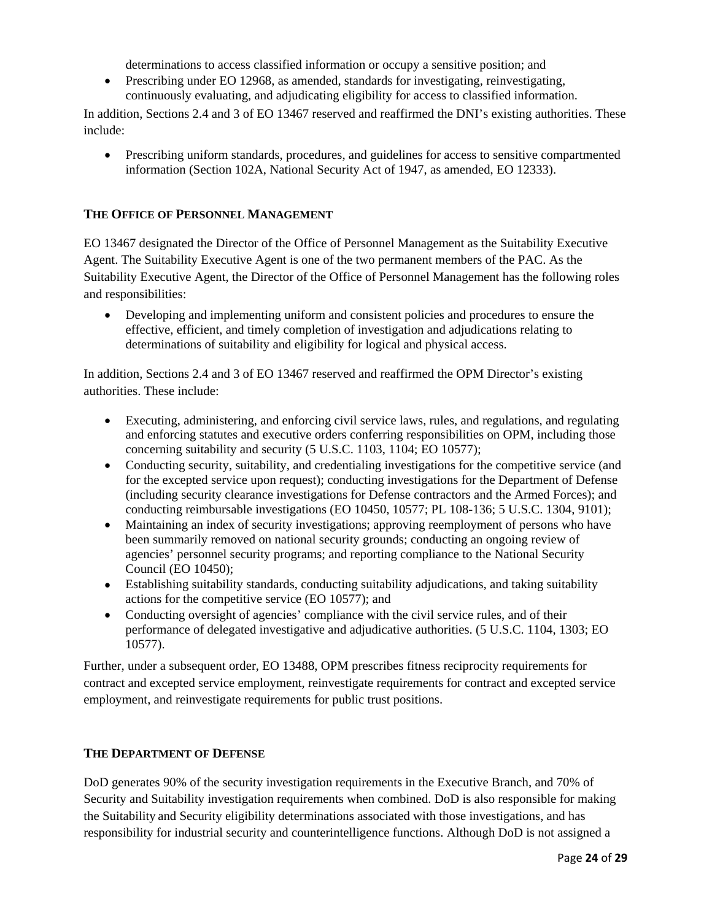determinations to access classified information or occupy a sensitive position; and

 Prescribing under EO 12968, as amended, standards for investigating, reinvestigating, continuously evaluating, and adjudicating eligibility for access to classified information.

In addition, Sections 2.4 and 3 of EO 13467 reserved and reaffirmed the DNI's existing authorities. These include:

 Prescribing uniform standards, procedures, and guidelines for access to sensitive compartmented information (Section 102A, National Security Act of 1947, as amended, EO 12333).

#### **THE OFFICE OF PERSONNEL MANAGEMENT**

EO 13467 designated the Director of the Office of Personnel Management as the Suitability Executive Agent. The Suitability Executive Agent is one of the two permanent members of the PAC. As the Suitability Executive Agent, the Director of the Office of Personnel Management has the following roles and responsibilities:

 Developing and implementing uniform and consistent policies and procedures to ensure the effective, efficient, and timely completion of investigation and adjudications relating to determinations of suitability and eligibility for logical and physical access.

In addition, Sections 2.4 and 3 of EO 13467 reserved and reaffirmed the OPM Director's existing authorities. These include:

- Executing, administering, and enforcing civil service laws, rules, and regulations, and regulating and enforcing statutes and executive orders conferring responsibilities on OPM, including those concerning suitability and security (5 U.S.C. 1103, 1104; EO 10577);
- Conducting security, suitability, and credentialing investigations for the competitive service (and for the excepted service upon request); conducting investigations for the Department of Defense (including security clearance investigations for Defense contractors and the Armed Forces); and conducting reimbursable investigations (EO 10450, 10577; PL 108-136; 5 U.S.C. 1304, 9101);
- Maintaining an index of security investigations; approving reemployment of persons who have been summarily removed on national security grounds; conducting an ongoing review of agencies' personnel security programs; and reporting compliance to the National Security Council (EO 10450);
- Establishing suitability standards, conducting suitability adjudications, and taking suitability actions for the competitive service (EO 10577); and
- Conducting oversight of agencies' compliance with the civil service rules, and of their performance of delegated investigative and adjudicative authorities. (5 U.S.C. 1104, 1303; EO 10577).

Further, under a subsequent order, EO 13488, OPM prescribes fitness reciprocity requirements for contract and excepted service employment, reinvestigate requirements for contract and excepted service employment, and reinvestigate requirements for public trust positions.

#### **THE DEPARTMENT OF DEFENSE**

DoD generates 90% of the security investigation requirements in the Executive Branch, and 70% of Security and Suitability investigation requirements when combined. DoD is also responsible for making the Suitability and Security eligibility determinations associated with those investigations, and has responsibility for industrial security and counterintelligence functions. Although DoD is not assigned a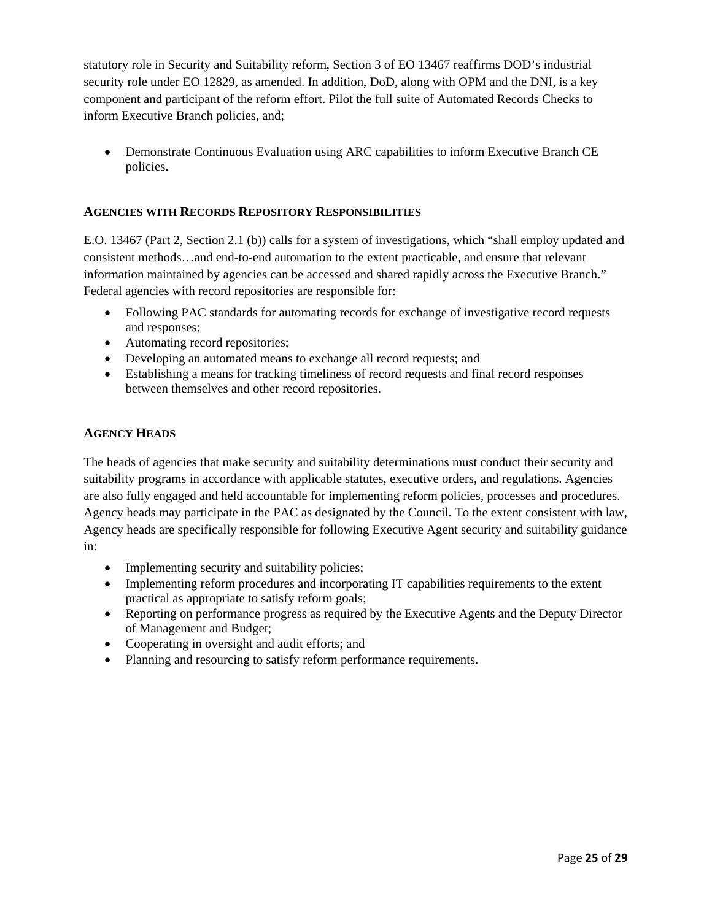statutory role in Security and Suitability reform, Section 3 of EO 13467 reaffirms DOD's industrial security role under EO 12829, as amended. In addition, DoD, along with OPM and the DNI, is a key component and participant of the reform effort. Pilot the full suite of Automated Records Checks to inform Executive Branch policies, and;

 Demonstrate Continuous Evaluation using ARC capabilities to inform Executive Branch CE policies.

#### **AGENCIES WITH RECORDS REPOSITORY RESPONSIBILITIES**

E.O. 13467 (Part 2, Section 2.1 (b)) calls for a system of investigations, which "shall employ updated and consistent methods…and end-to-end automation to the extent practicable, and ensure that relevant information maintained by agencies can be accessed and shared rapidly across the Executive Branch." Federal agencies with record repositories are responsible for:

- Following PAC standards for automating records for exchange of investigative record requests and responses;
- Automating record repositories;
- Developing an automated means to exchange all record requests; and
- Establishing a means for tracking timeliness of record requests and final record responses between themselves and other record repositories.

#### **AGENCY HEADS**

The heads of agencies that make security and suitability determinations must conduct their security and suitability programs in accordance with applicable statutes, executive orders, and regulations. Agencies are also fully engaged and held accountable for implementing reform policies, processes and procedures. Agency heads may participate in the PAC as designated by the Council. To the extent consistent with law, Agency heads are specifically responsible for following Executive Agent security and suitability guidance in:

- Implementing security and suitability policies;
- Implementing reform procedures and incorporating IT capabilities requirements to the extent practical as appropriate to satisfy reform goals;
- Reporting on performance progress as required by the Executive Agents and the Deputy Director of Management and Budget;
- Cooperating in oversight and audit efforts; and
- Planning and resourcing to satisfy reform performance requirements.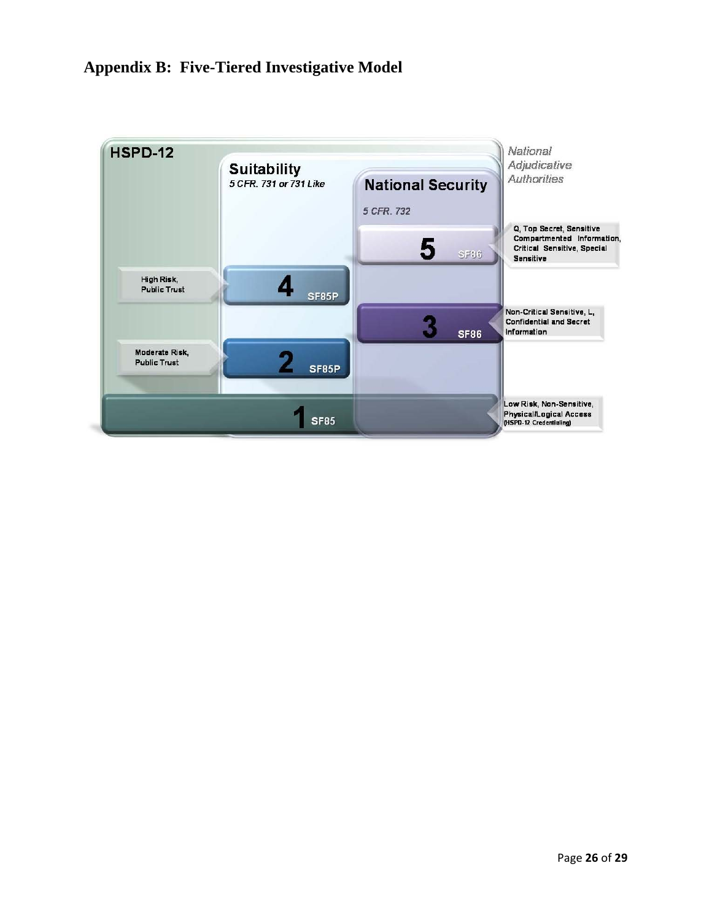## **Appendix B: Five-Tiered Investigative Model**

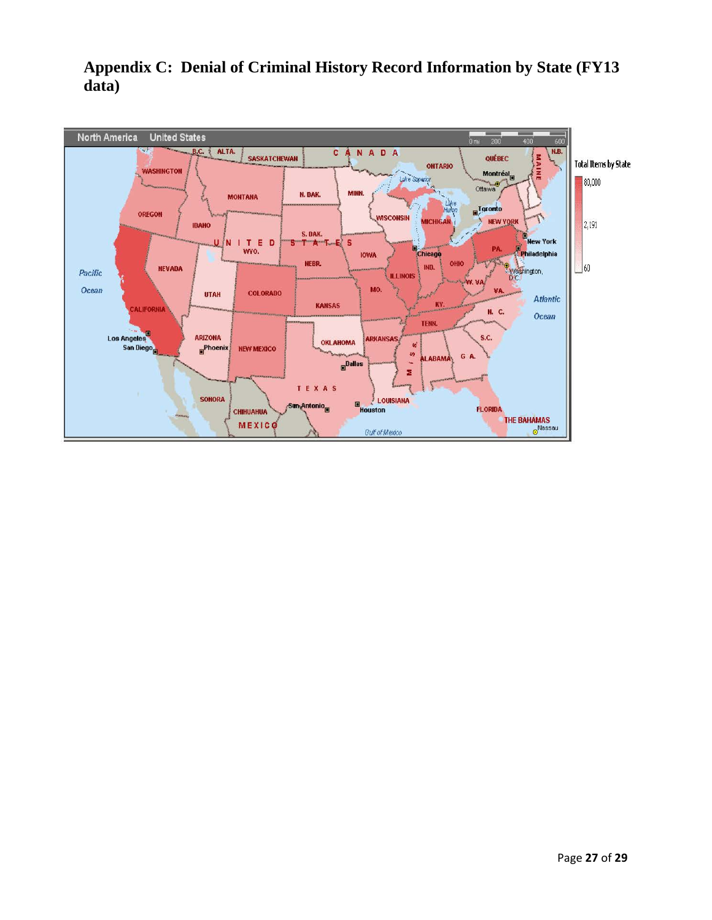

## **Appendix C: Denial of Criminal History Record Information by State (FY13 data)**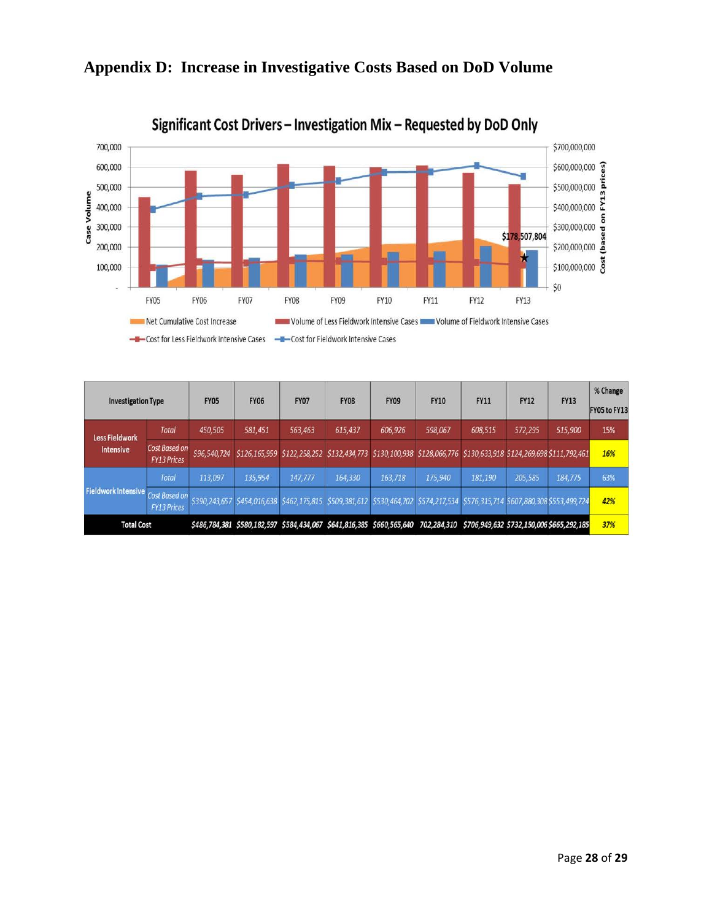

## **Appendix D: Increase in Investigative Costs Based on DoD Volume**

| <b>Investigation Type</b>                 |                                     | <b>FY05</b>   | <b>FY06</b> | <b>FY07</b>                                                                                                                 | <b>FY08</b> | <b>FY09</b> | <b>FY10</b> | <b>FY11</b> | <b>FY12</b> | <b>FY13</b> | % Change<br>FY05 to FY13 |
|-------------------------------------------|-------------------------------------|---------------|-------------|-----------------------------------------------------------------------------------------------------------------------------|-------------|-------------|-------------|-------------|-------------|-------------|--------------------------|
| <b>Less Fieldwork</b><br><b>Intensive</b> | <b>Total</b>                        | 450,505       | 581,451     | 563,463                                                                                                                     | 615,437     | 606,926     | 598,067     | 608,515     | 572,295     | 515,900     | 15%                      |
|                                           | Cost Based on<br><b>FY13 Prices</b> | \$96,540,724  |             | \$126,165,959 \$122,258,252 \$132,434,773 \$130,100,938 \$128,066,776 \$130,633,918 \$124,269,698 \$111,792,461             |             |             |             |             |             |             | 16%                      |
| Fieldwork Intensive Cost Based on         | <b>Total</b>                        | 113,097       | 135,954     | 147,777                                                                                                                     | 164,330     | 163,718     | 175,940     | 181,190     | 205,585     | 184,775     | 63%                      |
|                                           | <b>FY13 Prices</b>                  | \$390,243,657 |             | \$454,016,638 \$462,175,815 \$509,381,612 \$530,464,702 \$574,217,534 \$576,315,714 \$607,880,308 \$553,499,724             |             |             |             |             |             |             | 42%                      |
| <b>Total Cost</b>                         |                                     |               |             | \$486,784,381 \$580,182,597 \$584,434,067 \$641,816,385 \$660,565,640 702,284,310 \$706,949,632 \$732,150,006 \$665,292,185 |             |             |             |             |             |             | 37%                      |